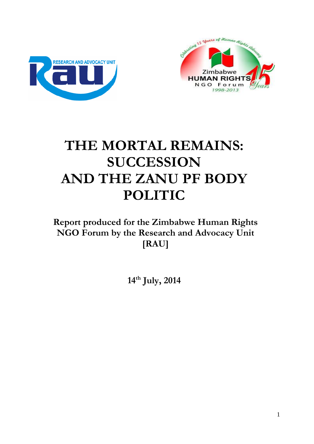



# **THE MORTAL REMAINS: SUCCESSION AND THE ZANU PF BODY POLITIC**

**Report produced for the Zimbabwe Human Rights NGO Forum by the Research and Advocacy Unit [RAU]**

**14th July, 2014**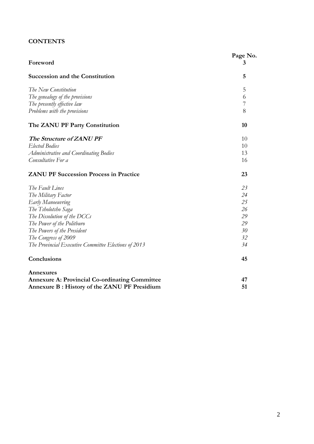# **CONTENTS**

|                                                       | Page No. |
|-------------------------------------------------------|----------|
| Foreword                                              | 3        |
| <b>Succession and the Constitution</b>                | 5        |
| The New Constitution                                  | 5        |
| The genealogy of the provisions                       | 6        |
| The presently effective law                           | 7        |
| Problems with the provisions                          | 8        |
| The ZANU PF Party Constitution                        | 10       |
| The Structure of ZANU PF                              | 10       |
| <b>Elected Bodies</b>                                 | 10       |
| Administrative and Coordinating Bodies                | 13       |
| Consultative For a                                    | 16       |
| <b>ZANU PF Succession Process in Practice</b>         | 23       |
| The Fault Lines                                       | 23       |
| The Military Factor                                   | 24       |
| <b>Early Manoeuvring</b>                              | 25       |
| The Tsholotsho Saga                                   | 26       |
| The Dissolution of the DCCs                           | 29       |
| The Power of the Politburo                            | 29       |
| The Powers of the President                           | 30       |
| The Congress of 2009                                  | 32       |
| The Provincial Executive Committee Elections of 2013  | 34       |
| Conclusions                                           | 45       |
| Annexures                                             |          |
| <b>Annexure A: Provincial Co-ordinating Committee</b> | 47       |
| Annexure B : History of the ZANU PF Presidium         | 51       |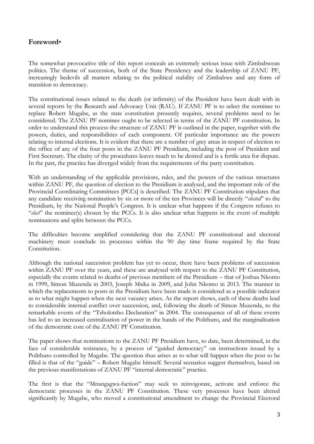# **Foreword\***

The somewhat provocative title of this report conceals an extremely serious issue with Zimbabwean politics. The theme of succession, both of the State Presidency and the leadership of ZANU PF, increasingly bedevils all matters relating to the political stability of Zimbabwe and any form of transition to democracy.

The constitutional issues related to the death (or infirmity) of the President have been dealt with in several reports by the Research and Advocacy Unit (RAU). If ZANU PF is to select the nominee to replace Robert Mugabe, as the state constitution presently requires, several problems need to be considered. The ZANU PF nominee ought to be selected in terms of the ZANU PF constitution. In order to understand this process the structure of ZANU PF is outlined in the paper, together with the powers, duties, and responsibilities of each component. Of particular importance are the powers relating to internal elections. It is evident that there are a number of grey areas in respect of election to the office of any of the four posts in the ZANU PF Presidium, including the post of President and First Secretary. The clarity of the procedures leaves much to be desired and is a fertile area for dispute. In the past, the practice has diverged widely from the requirements of the party constitution.

With an understanding of the applicable provisions, rules, and the powers of the various structures within ZANU PF, the question of election to the Presidium is analysed, and the important role of the Provincial Coordinating Committees [PCCs] is described. The ZANU PF Constitution stipulates that any candidate receiving nomination by six or more of the ten Provinces will be directly "*elected*" to the Presidium, by the National People's Congress. It is unclear what happens if the Congress refuses to "*elect*" the nominee(s) chosen by the PCCs. It is also unclear what happens in the event of multiple nominations and splits between the PCCs.

The difficulties become amplified considering that the ZANU PF constitutional and electoral machinery must conclude its processes within the 90 day time frame required by the State Constitution.

Although the national succession problem has yet to occur, there have been problems of succession within ZANU PF over the years, and these are analysed with respect to the ZANU PF Constitution, especially the events related to deaths of previous members of the Presidium – that of Joshua Nkomo in 1999, Simon Muzenda in 2003, Joseph Msika in 2009, and John Nkomo in 2013. The manner in which the replacements to posts in the Presidium have been made is considered as a possible indicator as to what might happen when the next vacancy arises. As the report shows, each of these deaths lead to considerable internal conflict over succession, and, following the death of Simon Muzenda, to the remarkable events of the "Tsholotsho Declaration" in 2004. The consequence of all of these events has led to an increased centralisation of power in the hands of the Politburo, and the marginalisation of the democratic core of the ZANU PF Constitution.

The paper shows that nominations to the ZANU PF Presidium have, to date, been determined, in the face of considerable resistance, by a process of "guided democracy" on instructions issued by a Politburo controlled by Mugabe. The question thus arises as to what will happen when the post to be filled is that of the "guide" – Robert Mugabe himself. Several scenarios suggest themselves, based on the previous manifestations of ZANU PF "internal democratic" practice.

The first is that the "Mnangagwa-faction" may seek to reinvigorate, activate and enforce the democratic processes in the ZANU PF Constitution. These very processes have been altered significantly by Mugabe, who moved a constitutional amendment to change the Provincial Electoral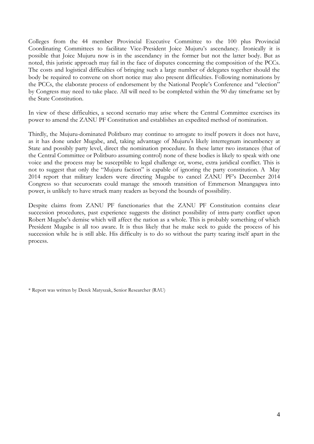Colleges from the 44 member Provincial Executive Committee to the 100 plus Provincial Coordinating Committees to facilitate Vice-President Joice Mujuru"s ascendancy. Ironically it is possible that Joice Mujuru now is in the ascendancy in the former but not the latter body. But as noted, this juristic approach may fail in the face of disputes concerning the composition of the PCCs. The costs and logistical difficulties of bringing such a large number of delegates together should the body be required to convene on short notice may also present difficulties. Following nominations by the PCCs, the elaborate process of endorsement by the National People's Conference and "election" by Congress may need to take place. All will need to be completed within the 90 day timeframe set by the State Constitution.

In view of these difficulties, a second scenario may arise where the Central Committee exercises its power to amend the ZANU PF Constitution and establishes an expedited method of nomination.

Thirdly, the Mujuru-dominated Politburo may continue to arrogate to itself powers it does not have, as it has done under Mugabe, and, taking advantage of Mujuru's likely interregnum incumbency at State and possibly party level, direct the nomination procedure. In these latter two instances (that of the Central Committee or Politburo assuming control) none of these bodies is likely to speak with one voice and the process may be susceptible to legal challenge or, worse, extra juridical conflict. This is not to suggest that only the "Mujuru faction" is capable of ignoring the party constitution. A May 2014 report that military leaders were directing Mugabe to cancel ZANU PF"s December 2014 Congress so that securocrats could manage the smooth transition of Emmerson Mnangagwa into power, is unlikely to have struck many readers as beyond the bounds of possibility.

Despite claims from ZANU PF functionaries that the ZANU PF Constitution contains clear succession procedures, past experience suggests the distinct possibility of intra-party conflict upon Robert Mugabe's demise which will affect the nation as a whole. This is probably something of which President Mugabe is all too aware. It is thus likely that he make seek to guide the process of his succession while he is still able. His difficulty is to do so without the party tearing itself apart in the process.

<sup>\*</sup> Report was written by Derek Matyszak, Senior Researcher (RAU)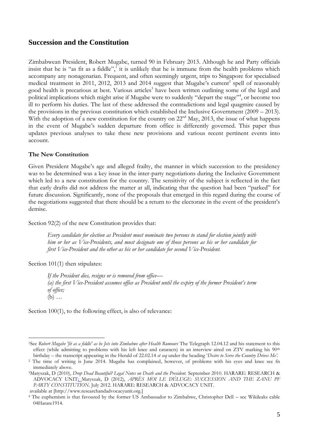# **Succession and the Constitution**

Zimbabwean President, Robert Mugabe, turned 90 in February 2013. Although he and Party officials insist that he is "as fit as a fiddle",<sup>1</sup> it is unlikely that he is immune from the health problems which accompany any nonagenarian. Frequent, and often seemingly urgent, trips to Singapore for specialised medical treatment in 2011, 2012, 2013 and 2014 suggest that Mugabe's current<sup>2</sup> spell of reasonably good health is precarious at best. Various articles<sup>3</sup> have been written outlining some of the legal and political implications which might arise if Mugabe were to suddenly "depart the stage", or become too ill to perform his duties. The last of these addressed the contradictions and legal quagmire caused by the provisions in the previous constitution which established the Inclusive Government (2009 – 2013). With the adoption of a new constitution for the country on 22<sup>nd</sup> May, 2013, the issue of what happens in the event of Mugabe's sudden departure from office is differently governed. This paper thus updates previous analyses to take these new provisions and various recent pertinent events into account.

## **The New Constitution**

Given President Mugabe's age and alleged frailty, the manner in which succession to the presidency was to be determined was a key issue in the inter-party negotiations during the Inclusive Government which led to a new constitution for the country. The sensitivity of the subject is reflected in the fact that early drafts did not address the matter at all, indicating that the question had been "parked" for future discussion. Significantly, none of the proposals that emerged in this regard during the course of the negotiations suggested that there should be a return to the electorate in the event of the president"s demise.

Section 92(2) of the new Constitution provides that:

*Every candidate for election as President must nominate two persons to stand for election jointly with him or her as Vice-Presidents, and must designate one of those persons as his or her candidate for first Vice-President and the other as his or her candidate for second Vice-President.*

Section 101(1) then stipulates:

1

*If the President dies, resigns or is removed from office— (a) the first Vice-President assumes office as President until the expiry of the former President's term of office;* (b) …

Section 100(1), to the following effect, is also of relevance:

<sup>&</sup>lt;sup>1</sup>See *Robert Mugabe 'fit as a fiddle' as he Jets into Zimbabwe after Health Rumours* The Telegraph 12.04.12 and his statement to this effect (while admitting to problems with his left knee and cataracts) in an interview aired on ZTV marking his  $90<sup>th</sup>$ birthday – the transcript appearing in the Herald of 22.02.14 *et seq* under the heading "*Desire to Serve the Country Drives Me'.*

<sup>&</sup>lt;sup>2</sup> The time of writing is June 2014. Mugabe has complained, however, of problems with his eyes and knee see fn immediately above.

<sup>3</sup>Matyszak, D (2010), *Drop Dead Beautiful? Legal Notes on Death and the President.* September 2010. HARARE: RESEARCH & ADVOCACY UNIT; Matyszak, D (2012), *APRÈS MOI LE DÉLUGE: SUCCESSION AND THE ZANU PF PARTY CONSTITUTION*. July 2012. HARARE: RESEARCH & ADVOCACY UNIT. available at [http://www.researchandadvocacyunit.org.]

<sup>4</sup> The euphemism is that favoured by the former US Ambassador to Zimbabwe, Christopher Dell – see Wikileaks cable 04Harare1914.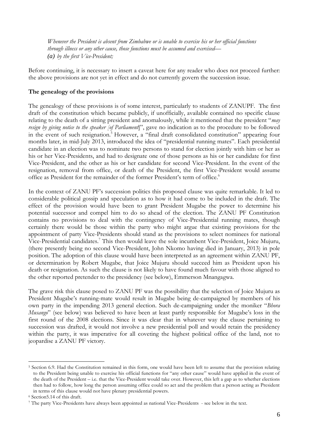*Whenever the President is absent from Zimbabwe or is unable to exercise his or her official functions through illness or any other cause, those functions must be assumed and exercised— (a) by the first Vice-President;*

Before continuing, it is necessary to insert a caveat here for any reader who does not proceed further: the above provisions are not yet in effect and do not currently govern the succession issue.

# **The genealogy of the provisions**

The genealogy of these provisions is of some interest, particularly to students of ZANUPF. The first draft of the constitution which became publicly, if unofficially, available contained no specific clause relating to the death of a sitting president and anomalously, while it mentioned that the president "*may resign by giving notice to the speaker [of Parliament*]", gave no indication as to the procedure to be followed in the event of such resignation.<sup>5</sup> However, a "final draft consolidated constitution" appearing four months later, in mid-July 2013, introduced the idea of "presidential running mates". Each presidential candidate in an election was to nominate two persons to stand for election jointly with him or her as his or her Vice-Presidents, and had to designate one of those persons as his or her candidate for first Vice-President, and the other as his or her candidate for second Vice-President. In the event of the resignation, removal from office, or death of the President, the first Vice-President would assume office as President for the remainder of the former President's term of office.<sup>6</sup>

In the context of ZANU PF"s succession politics this proposed clause was quite remarkable. It led to considerable political gossip and speculation as to how it had come to be included in the draft. The effect of the provision would have been to grant President Mugabe the power to determine his potential successor and compel him to do so ahead of the election. The ZANU PF Constitution contains no provisions to deal with the contingency of Vice-Presidential running mates, though certainly there would be those within the party who might argue that existing provisions for the appointment of party Vice-Presidents should stand as the provisions to select nominees for national Vice-Presidential candidates.<sup>7</sup> This then would leave the sole incumbent Vice-President, Joice Mujuru, (there presently being no second Vice-President, John Nkomo having died in January, 2013) in pole position. The adoption of this clause would have been interpreted as an agreement within ZANU PF, or determination by Robert Mugabe, that Joice Mujuru should succeed him as President upon his death or resignation. As such the clause is not likely to have found much favour with those aligned to the other reported pretender to the presidency (see below), Emmerson Mnangagwa.

The grave risk this clause posed to ZANU PF was the possibility that the selection of Joice Mujuru as President Mugabe"s running-mate would result in Mugabe being de-campaigned by members of his own party in the impending 2013 general election. Such de-campaigning under the moniker "*Bhora Musango*" (see below) was believed to have been at least partly responsible for Mugabe's loss in the first round of the 2008 elections. Since it was clear that in whatever way the clause pertaining to succession was drafted, it would not involve a new presidential poll and would retain the presidency within the party, it was imperative for all coveting the highest political office of the land, not to jeopardise a ZANU PF victory.

<sup>1</sup> <sup>5</sup> Section 6.9. Had the Constitution remained in this form, one would have been left to assume that the provision relating to the President being unable to exercise his official functions for "any other cause" would have applied in the event of the death of the President – i.e. that the Vice-President would take over. However, this left a gap as to whether elections then had to follow, how long the person assuming office could so act and the problem that a person acting as President in terms of this clause would not have plenary presidential powers.

<sup>6</sup> Section5.14 of this draft.

<sup>7</sup> The party Vice-Presidents have always been appointed as national Vice-Presidents - see below in the text.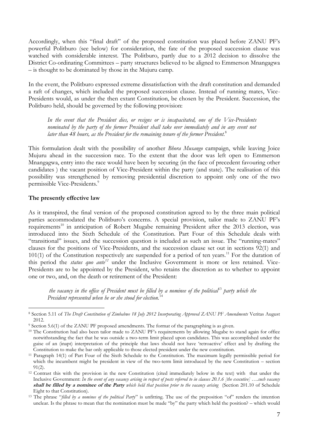Accordingly, when this "final draft" of the proposed constitution was placed before ZANU PF"s powerful Politburo (see below) for consideration, the fate of the proposed succession clause was watched with considerable interest. The Politburo, partly due to a 2012 decision to dissolve the District Co-ordinating Committees – party structures believed to be aligned to Emmerson Mnangagwa – is thought to be dominated by those in the Mujuru camp.

In the event, the Politburo expressed extreme dissatisfaction with the draft constitution and demanded a raft of changes, which included the proposed succession clause. Instead of running mates, Vice-Presidents would, as under the then extant Constitution, be chosen by the President. Succession, the Politburo held, should be governed by the following provision:

*In the event that the President dies, or resigns or is incapacitated, one of the Vice-Presidents nominated by the party of the former President shall take over immediately and in any event not later than 48 hours, as the President for the remaining tenure of the former President.* 8

This formulation dealt with the possibility of another *Bhora Musango* campaign, while leaving Joice Mujuru ahead in the succession race. To the extent that the door was left open to Emmerson Mnangagwa, entry into the race would have been by securing (in the face of precedent favouring other candidates ) the vacant position of Vice-President within the party (and state). The realisation of this possibility was strengthened by removing presidential discretion to appoint only one of the two permissible Vice-Presidents.<sup>9</sup>

## **The presently effective law**

<u>.</u>

As it transpired, the final version of the proposed constitution agreed to by the three main political parties accommodated the Politburo's concerns. A special provision, tailor made to ZANU PF's requirements<sup>10</sup> in anticipation of Robert Mugabe remaining President after the 2013 election, was introduced into the Sixth Schedule of the Constitution. Part Four of this Schedule deals with "transitional" issues, and the succession question is included as such an issue. The "running-mates" clauses for the positions of Vice-Presidents, and the succession clause set out in sections 92(1) and  $101(1)$  of the Constitution respectively are suspended for a period of ten years.<sup>11</sup> For the duration of this period the *status quo ante<sup>12</sup>* under the Inclusive Government is more or less retained. Vice-Presidents are to be appointed by the President, who retains the discretion as to whether to appoint one or two, and, on the death or retirement of the President:

*the vacancy in the office of President must be filled by a nominee of the political*<sup>13</sup> *party which the President represented when he or she stood for election.*<sup>14</sup>

<sup>8</sup> Section 5.11 of *The Draft Constitution of Zimbabwe 18 July 2012 Incorporating Approved ZANU PF Amendments* Veritas August 2012.

<sup>9</sup> Section 5.6(1) of the ZANU PF proposed amendments. The format of the paragraphing is as given.

<sup>&</sup>lt;sup>10</sup> The Constitution had also been tailor made to ZANU PF's requirements by allowing Mugabe to stand again for office notwithstanding the fact that he was outside a two-term limit placed upon candidates. This was accomplished under the guise of an (inapt) interpretation of the principle that laws should not have "retroactive" effect and by drafting the Constitution to make the bar only applicable to those elected president under the new constitution.

<sup>11</sup> Paragraph 14(1) of Part Four of the Sixth Schedule to the Constitution. The maximum legally permissible period for which the incumbent might be president in view of the two-term limit introduced by the new Constitution – section  $91(2)$ .

<sup>&</sup>lt;sup>12</sup> Contrast this with the provision in the new Constitution (cited immediately below in the text) with that under the Inclusive Government: *In the event of any vacancy arising in respect of posts referred to in clauses 20.1.6 [the executive] ….such vacancy*  **shall be filled by a nominee of the Party** *which held that position prior to the vacancy arising* (Section 201.10 of Schedule Eight to that Constitution).

<sup>&</sup>lt;sup>13</sup> The phrase "*filled by a nominee of the political Party*" is unfitting. The use of the preposition "of" renders the intention unclear. Is the phrase to mean that the nomination must be made "by" the party which held the position? – which would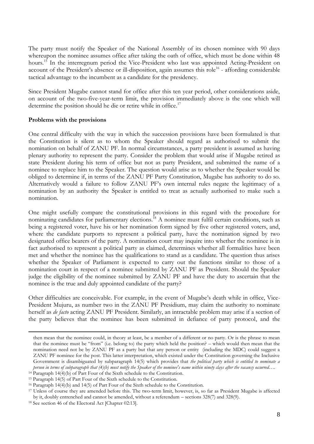The party must notify the Speaker of the National Assembly of its chosen nominee with 90 days whereupon the nominee assumes office after taking the oath of office, which must be done within 48 hours.<sup>15</sup> In the interregnum period the Vice-President who last was appointed Acting-President on account of the President's absence or ill-disposition, again assumes this role<sup>16</sup> - affording considerable tactical advantage to the incumbent as a candidate for the presidency.

Since President Mugabe cannot stand for office after this ten year period, other considerations aside, on account of the two-five-year-term limit, the provision immediately above is the one which will determine the position should he die or retire while in office.<sup>17</sup>

## **Problems with the provisions**

One central difficulty with the way in which the succession provisions have been formulated is that the Constitution is silent as to whom the Speaker should regard as authorised to submit the nomination on behalf of ZANU PF. In normal circumstances, a party president is assumed as having plenary authority to represent the party. Consider the problem that would arise if Mugabe retired as state President during his term of office but not as party President, and submitted the name of a nominee to replace him to the Speaker. The question would arise as to whether the Speaker would be obliged to determine if, in terms of the ZANU PF Party Constitution, Mugabe has authority to do so. Alternatively would a failure to follow ZANU PF"s own internal rules negate the legitimacy of a nomination by an authority the Speaker is entitled to treat as actually authorised to make such a nomination.

One might usefully compare the constitutional provisions in this regard with the procedure for nominating candidates for parliamentary elections.<sup>18</sup> A nominee must fulfil certain conditions, such as being a registered voter, have his or her nomination form signed by five other registered voters, and, where the candidate purports to represent a political party, have the nomination signed by two designated office bearers of the party. A nomination court may inquire into whether the nominee is in fact authorised to represent a political party as claimed, determines whether all formalities have been met and whether the nominee has the qualifications to stand as a candidate. The question thus arises whether the Speaker of Parliament is expected to carry out the functions similar to those of a nomination court in respect of a nominee submitted by ZANU PF as President. Should the Speaker judge the eligibility of the nominee submitted by ZANU PF and have the duty to ascertain that the nominee is the true and duly appointed candidate of the party?

Other difficulties are conceivable. For example, in the event of Mugabe"s death while in office, Vice-President Mujuru, as number two in the ZANU PF Presidium, may claim the authority to nominate herself as *de facto* acting ZANU PF President. Similarly, an intractable problem may arise if a section of the party believes that the nominee has been submitted in defiance of party protocol, and the

then mean that the nominee could, in theory at least, be a member of a different or no party. Or is the phrase to mean that the nominee must be "from" (i.e. belong to) the party which held the position? – which would then mean that the nomination need not be by ZANU PF as a party but that any person or entity (including the MDC) could suggest a ZANU PF nominee for the post. This latter interpretation, which existed under the Constitution governing the Inclusive Government is disambiguated by subparagraph 14(5) which provides that *the political party which is entitled to nominate a person in terms of subparagraph that (4)(b) must notify the Speaker of the nominee's name within ninety clays after the vacancy occurred….*

<sup>14</sup> Paragraph 14(4)(b) of Part Four of the Sixth schedule to the Constitution.

<sup>15</sup> Paragraph 14(5) of Part Four of the Sixth schedule to the Constitution.

<sup>16</sup> Paragraph 14(4)(b) and 14(5) of Part Four of the Sixth schedule to the Constitution.

<sup>17</sup> Unless of course they are amended before this. The two-term limit, however, is, so far as President Mugabe is affected by it, doubly entrenched and cannot be amended, without a referendum – sections 328(7) and 328(9).

<sup>18</sup> See section 46 of the Electoral Act [Chapter 02:13].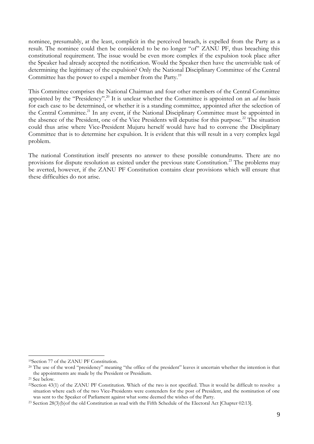nominee, presumably, at the least, complicit in the perceived breach, is expelled from the Party as a result. The nominee could then be considered to be no longer "of" ZANU PF, thus breaching this constitutional requirement. The issue would be even more complex if the expulsion took place after the Speaker had already accepted the notification. Would the Speaker then have the unenviable task of determining the legitimacy of the expulsion? Only the National Disciplinary Committee of the Central Committee has the power to expel a member from the Party.<sup>19</sup>

This Committee comprises the National Chairman and four other members of the Central Committee appointed by the "Presidency".<sup>20</sup> It is unclear whether the Committee is appointed on an *ad hoc* basis for each case to be determined, or whether it is a standing committee, appointed after the selection of the Central Committee.<sup>21</sup> In any event, if the National Disciplinary Committee must be appointed in the absence of the President, one of the Vice Presidents will deputise for this purpose.<sup>22</sup> The situation could thus arise where Vice-President Mujuru herself would have had to convene the Disciplinary Committee that is to determine her expulsion. It is evident that this will result in a very complex legal problem.

The national Constitution itself presents no answer to these possible conundrums. There are no provisions for dispute resolution as existed under the previous state Constitution.<sup>23</sup> The problems may be averted, however, if the ZANU PF Constitution contains clear provisions which will ensure that these difficulties do not arise.

<sup>19</sup>Section 77 of the ZANU PF Constitution.

<sup>&</sup>lt;sup>20</sup> The use of the word "presidency" meaning "the office of the president" leaves it uncertain whether the intention is that the appointments are made by the President or Presidium.

<sup>21</sup> See below.

<sup>22</sup>Section 43(1) of the ZANU PF Constitution. Which of the two is not specified. Thus it would be difficult to resolve a situation where each of the two Vice-Presidents were contenders for the post of President, and the nomination of one was sent to the Speaker of Parliament against what some deemed the wishes of the Party.

<sup>&</sup>lt;sup>23</sup> Section 28(3)(b)of the old Constitution as read with the Fifth Schedule of the Electoral Act [Chapter 02:13].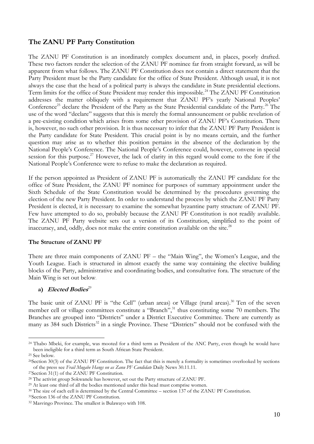# **The ZANU PF Party Constitution**

The ZANU PF Constitution is an inordinately complex document and, in places, poorly drafted. These two factors render the selection of the ZANU PF nominee far from straight forward, as will be apparent from what follows. The ZANU PF Constitution does not contain a direct statement that the Party President must be the Party candidate for the office of State President. Although usual, it is not always the case that the head of a political party is always the candidate in State presidential elections. Term limits for the office of State President may render this impossible.<sup>24</sup> The ZANU PF Constitution addresses the matter obliquely with a requirement that ZANU PF's yearly National Peoples' Conference<sup>25</sup> declare the President of the Party as the State Presidential candidate of the Party.<sup>26</sup> The use of the word "declare" suggests that this is merely the formal announcement or public revelation of a pre-existing condition which arises from some other provision of ZANU PF"s Constitution. There is, however, no such other provision. It is thus necessary to infer that the ZANU PF Party President is the Party candidate for State President. This crucial point is by no means certain, and the further question may arise as to whether this position pertains in the absence of the declaration by the National People"s Conference. The National People"s Conference could, however, convene in special session for this purpose.<sup>27</sup> However, the lack of clarity in this regard would come to the fore if the National People"s Conference were to refuse to make the declaration as required.

If the person appointed as President of ZANU PF is automatically the ZANU PF candidate for the office of State President, the ZANU PF nominee for purposes of summary appointment under the Sixth Schedule of the State Constitution would be determined by the procedures governing the election of the new Party President. In order to understand the process by which the ZANU PF Party President is elected, it is necessary to examine the somewhat byzantine party structure of ZANU PF. Few have attempted to do so, probably because the ZANU PF Constitution is not readily available. The ZANU PF Party website sets out a version of its Constitution, simplified to the point of inaccuracy, and, oddly, does not make the entire constitution available on the site.<sup>28</sup>

# **The Structure of ZANU PF**

There are three main components of ZANU PF – the "Main Wing", the Women"s League, and the Youth League. Each is structured in almost exactly the same way containing the elective building blocks of the Party, administrative and coordinating bodies, and consultative fora. The structure of the Main Wing is set out below.

# **a) Elected Bodies** 29

The basic unit of ZANU PF is "the Cell" (urban areas) or Village (rural areas).<sup>30</sup> Ten of the seven member cell or village committees constitute a "Branch",<sup>31</sup> thus constituting some 70 members. The Branches are grouped into "Districts" under a District Executive Committee. There are currently as many as 384 such Districts<sup>32</sup> in a single Province. These "Districts" should not be confused with the

<sup>&</sup>lt;sup>24</sup> Thabo Mbeki, for example, was mooted for a third term as President of the ANC Party, even though he would have been ineligible for a third term as South African State President.

<sup>25</sup> See below.

<sup>26</sup>Section 30(3) of the ZANU PF Constitution. The fact that this is merely a formality is sometimes overlooked by sections of the press see *Frail Mugabe Hangs on as Zanu PF Candidate* Daily News 30.11.11.

<sup>27</sup>Section 31(1) of the ZANU PF Constitution.

<sup>&</sup>lt;sup>28</sup> The activist group Sokwanele has however, set out the Party structure of ZANU PF.

<sup>&</sup>lt;sup>29</sup> At least one third of all the bodies mentioned under this head must comprise women.

<sup>30</sup> The size of each cell is determined by the Central Committee – section 137 of the ZANU PF Constitution.

<sup>31</sup>Section 136 of the ZANU PF Constitution.

<sup>32</sup> Masvingo Province. The smallest is Bulawayo with 108.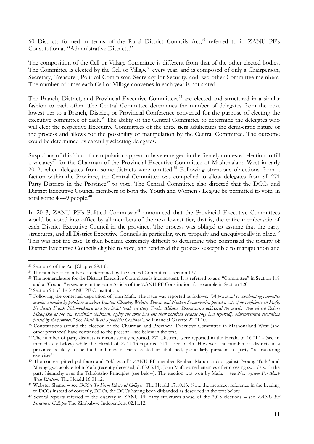60 Districts formed in terms of the Rural District Councils Act,<sup>33</sup> referred to in ZANU PF"s Constitution as "Administrative Districts."

The composition of the Cell or Village Committee is different from that of the other elected bodies. The Committee is elected by the Cell or Village<sup>34</sup> every year, and is composed of only a Chairperson, Secretary, Treasurer, Political Commissar, Secretary for Security, and two other Committee members. The number of times each Cell or Village convenes in each year is not stated.

The Branch, District, and Provincial Executive Committees<sup>35</sup> are elected and structured in a similar fashion to each other. The Central Committee determines the number of delegates from the next lowest tier to a Branch, District, or Provincial Conference convened for the purpose of electing the executive committee of each.<sup>36</sup> The ability of the Central Committee to determine the delegates who will elect the respective Executive Committees of the three tiers adulterates the democratic nature of the process and allows for the possibility of manipulation by the Central Committee. The outcome could be determined by carefully selecting delegates.

Suspicions of this kind of manipulation appear to have emerged in the fiercely contested election to fill a vacancy<sup>37</sup> for the Chairman of the Provincial Executive Committee of Mashonaland West in early 2012, when delegates from some districts were omitted.<sup>38</sup> Following strenuous objections from a faction within the Province, the Central Committee was compelled to allow delegates from all 271 Party Districts in the Province<sup>39</sup> to vote. The Central Committee also directed that the DCCs and District Executive Council members of both the Youth and Women"s League be permitted to vote, in total some  $4\,449$  people.<sup>40</sup>

In 2013, ZANU PF's Political Commissar<sup>41</sup> announced that the Provincial Executive Committees would be voted into office by all members of the next lowest tier, that is, the entire membership of each District Executive Council in the province. The process was obliged to assume that the party structures, and all District Executive Councils in particular, were properly and unequivocally in place.<sup>42</sup> This was not the case. It then became extremely difficult to determine who comprised the totality of District Executive Councils eligible to vote, and rendered the process susceptible to manipulation and

<sup>33</sup> Section 6 of the Act [Chapter 29:13].

<sup>&</sup>lt;sup>34</sup> The number of members is determined by the Central Committee – section 137.

<sup>35</sup> The nomenclature for the District Executive Committee is inconsistent. It is referred to as a "Committee" in Section 118 and a "Council" elsewhere in the same Article of the ZANU PF Constitution, for example in Section 120.

<sup>36</sup> Section 93 of the ZANU PF Constitution.

<sup>37</sup> Following the contested deposition of John Mafa. The issue was reported as follows: *―A provincial co-coordinating committee meeting attended by politburo members Ignatius Chombo, Webster Shamu and Nathan Shamuyarira passed a vote of no confidence on Mafa, his deputy Frank Ndambakuwa and provincial lands secretary Temba Mliswa. Shamuyarira addressed the meeting that elected Robert Sikanyika as the new provincial chairman, saying the three had lost their positions because they had reportedly misrepresented resolutions passed by the province.‖* See *Mash West Squabbles Continue* The Financial Gazette 22.01.10.

<sup>&</sup>lt;sup>38</sup> Contestations around the election of the Chairman and Provincial Executive Committee in Mashonaland West (and other provinces) have continued to the present – see below in the text.

<sup>&</sup>lt;sup>39</sup> The number of party districts is inconsistently reported. 271 Districts were reported in the Herald of 16.01.12 (see fn immediately below) while the Herald of 27.11.13 reported 311 - see fn 45. However, the number of districts in a province is likely to be fluid and new districts created or abolished, particularly pursuant to party "restructuring exercises".

<sup>40</sup> The contest pitted politburo and "old guard" ZANU PF member Reuben Marumahoko against "young Turk" and Mnangagwa acolyte John Mafa (recently deceased, d. 03.05.14). John Mafa gained enemies after crossing swords with the party hierarchy over the Tsholotsho Principles (see below). The election was won by Mafa. – see *New System For Mash West Elections* The Herald 16.01.12.

<sup>41</sup> Webster Shamu – see *DCC's To Form Electoral Colleges* The Herald 17.10.13. Note the incorrect reference in the heading to DCCs instead of correctly, DECs, the DCCs having been disbanded as described in the text below.

<sup>42</sup> Several reports referred to the disarray in ZANU PF party structures ahead of the 2013 elections – see *ZANU PF Structures Collapse* The Zimbabwe Independent 02.11.12.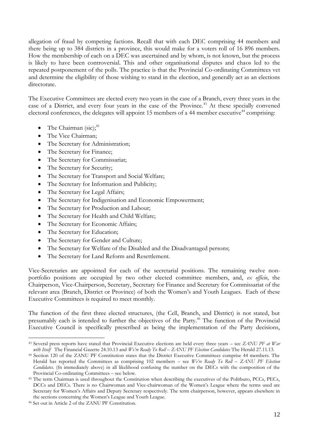allegation of fraud by competing factions. Recall that with each DEC comprising 44 members and there being up to 384 districts in a province, this would make for a voters roll of 16 896 members. How the membership of each on a DEC was ascertained and by whom, is not known, but the process is likely to have been controversial. This and other organisational disputes and chaos led to the repeated postponement of the polls. The practice is that the Provincial Co-ordinating Committees vet and determine the eligibility of those wishing to stand in the election, and generally act as an elections directorate.

The Executive Committees are elected every two years in the case of a Branch, every three years in the case of a District, and every four years in the case of the Province.<sup>43</sup> At these specially convened electoral conferences, the delegates will appoint 15 members of a 44 member executive<sup>44</sup> comprising:

- The Chairman  $(sic)$ ;<sup>45</sup>
- The Vice Chairman;
- The Secretary for Administration;
- The Secretary for Finance;
- The Secretary for Commissariat;
- The Secretary for Security;
- The Secretary for Transport and Social Welfare;
- The Secretary for Information and Publicity;
- The Secretary for Legal Affairs;
- The Secretary for Indigenisation and Economic Empowerment;
- The Secretary for Production and Labour;
- The Secretary for Health and Child Welfare;
- The Secretary for Economic Affairs;
- The Secretary for Education;
- The Secretary for Gender and Culture;
- The Secretary for Welfare of the Disabled and the Disadvantaged persons;
- The Secretary for Land Reform and Resettlement.

Vice-Secretaries are appointed for each of the secretarial positions. The remaining twelve nonportfolio positions are occupied by two other elected committee members, and, *ex officio*, the Chairperson, Vice-Chairperson, Secretary, Secretary for Finance and Secretary for Commissariat of the relevant area (Branch, District or Province) of both the Women"s and Youth Leagues. Each of these Executive Committees is required to meet monthly.

The function of the first three elected structures, (the Cell, Branch, and District) is not stated, but presumably each is intended to further the objectives of the Party.<sup>46</sup> The function of the Provincial Executive Council is specifically prescribed as being the implementation of the Party decisions,

<sup>43</sup> Several press reports have stated that Provincial Executive elections are held every three years – see *ZANU PF at War with Itself* The Financial Gazette 24.10.13 and *We're Ready To Roll – ZANU PF Election Candidates* The Herald 27.11.13.

<sup>44</sup> Section 120 of the ZANU PF Constitution states that the District Executive Committees comprise 44 members. The Herald has reported the Committees as comprising 102 members – see *We're Ready To Roll – ZANU PF Election Candidates.* (fn immediately above) in all likelihood confusing the number on the DECs with the composition of the Provincial Co-ordinating Committees – see below.

<sup>45</sup> The term Chairman is used throughout the Constitution when describing the executives of the Politburo, PCCs, PECs, DCCs and DECs. There is no Chairwoman and Vice-chairwoman of the Women"s League where the terms used are Secretary for Women"s Affairs and Deputy Secretary respectively. The term chairperson, however, appears elsewhere in the sections concerning the Women"s League and Youth League.

<sup>46</sup> Set out in Article 2 of the ZANU PF Constitution.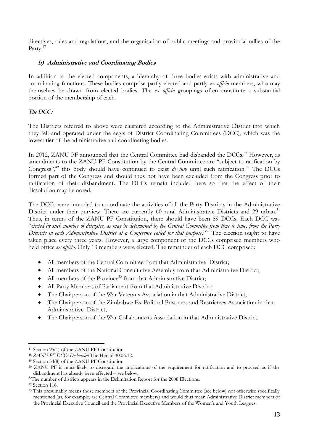directives, rules and regulations, and the organisation of public meetings and provincial rallies of the Party.<sup>47</sup>

# **b) Administrative and Coordinating Bodies**

In addition to the elected components, a hierarchy of three bodies exists with administrative and coordinating functions. These bodies comprise partly elected and partly *ex officio* members, who may themselves be drawn from elected bodies. The *ex officio* groupings often constitute a substantial portion of the membership of each.

# *The DCCs*

The Districts referred to above were clustered according to the Administrative District into which they fell and operated under the aegis of District Coordinating Committees (DCC), which was the lowest tier of the administrative and coordinating bodies.

In 2012, ZANU PF announced that the Central Committee had disbanded the DCCs.<sup>48</sup> However, as amendments to the ZANU PF Constitution by the Central Committee are "subject to ratification by Congress",<sup>49</sup> this body should have continued to exist *de jure* until such ratification.<sup>50</sup> The DCCs formed part of the Congress and should thus not have been excluded from the Congress prior to ratification of their disbandment. The DCCs remain included here so that the effect of their dissolution may be noted.

The DCCs were intended to co-ordinate the activities of all the Party Districts in the Administrative District under their purview. There are currently 60 rural Administrative Districts and 29 urban.<sup>51</sup> Thus, in terms of the ZANU PF Constitution, there should have been 89 DCCs. Each DCC was "*elected by such number of delegates, as may be determined by the Central Committee from time to time, from the Party Districts in each Administrative District at a Conference called for that purpose.*"<sup>52</sup> The election ought to have taken place every three years. However, a large component of the DCCs comprised members who held office *ex officio*. Only 13 members were elected. The remainder of each DCC comprised:

- All members of the Central Committee from that Administrative District;
- All members of the National Consultative Assembly from that Administrative District;
- $\bullet$  All members of the Province<sup>53</sup> from that Administrative District;
- All Party Members of Parliament from that Administrative District;
- The Chairperson of the War Veterans Association in that Administrative District;
- The Chairperson of the Zimbabwe Ex-Political Prisoners and Restrictees Association in that Administrative District;
- The Chairperson of the War Collaborators Association in that Administrative District.

<sup>&</sup>lt;u>.</u> <sup>47</sup> Section 95(1) of the ZANU PF Constitution.

<sup>48</sup> *ZANU PF DCCs Disbanded* The Herald 30.06.12.

<sup>49</sup> Section 34(8) of the ZANU PF Constitution.

<sup>50</sup> ZANU PF is most likely to disregard the implications of the requirement for ratification and to proceed as if the disbandment has already been effected – see below.

<sup>&</sup>lt;sup>51</sup>The number of districts appears in the Delimitation Report for the 2008 Elections.

<sup>52</sup> Section 116.

<sup>&</sup>lt;sup>53</sup> This presumably means those members of the Provincial Coordinating Committee (see below) not otherwise specifically mentioned (as, for example, are Central Committee members) and would thus mean Administrative District members of the Provincial Executive Council and the Provincial Executive Members of the Women"s and Youth Leagues.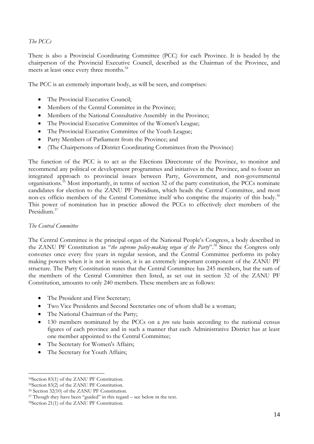# *The PCCs*

There is also a Provincial Coordinating Committee (PCC) for each Province. It is headed by the chairperson of the Provincial Executive Council, described as the Chairman of the Province, and meets at least once every three months.<sup>54</sup>

The PCC is an extremely important body, as will be seen, and comprises:

- The Provincial Executive Council;
- Members of the Central Committee in the Province:
- Members of the National Consultative Assembly in the Province;
- The Provincial Executive Committee of the Women's League;
- The Provincial Executive Committee of the Youth League:
- Party Members of Parliament from the Province; and
- (The Chairpersons of District Coordinating Committees from the Province)

The function of the PCC is to act as the Elections Directorate of the Province, to monitor and recommend any political or development programmes and initiatives in the Province, and to foster an integrated approach to provincial issues between Party, Government, and non-governmental organisations.<sup>55</sup> Most importantly, in terms of section 32 of the party constitution, the PCCs nominate candidates for election to the ZANU PF Presidium, which heads the Central Committee, and most non-ex officio members of the Central Committee itself who comprise the majority of this body.<sup>56</sup> This power of nomination has in practice allowed the PCCs to effectively elect members of the Presidium<sup>57</sup>

# *The Central Committee*

The Central Committee is the principal organ of the National People"s Congress, a body described in the ZANU PF Constitution as "*the supreme policy-making organ of the Party*".<sup>58</sup> Since the Congress only convenes once every five years in regular session, and the Central Committee performs its policy making powers when it is not in session, it is an extremely important component of the ZANU PF structure. The Party Constitution states that the Central Committee has 245 members, but the sum of the members of the Central Committee then listed, as set out in section 32 of the ZANU PF Constitution, amounts to only 240 members. These members are as follows:

- The President and First Secretary;
- Two Vice Presidents and Second Secretaries one of whom shall be a woman;
- The National Chairman of the Party;
- 130 members nominated by the PCCs on a *pro rata* basis according to the national census figures of each province and in such a manner that each Administrative District has at least one member appointed to the Central Committee;
- The Secretary for Women's Affairs;
- The Secretary for Youth Affairs;

<sup>1</sup> <sup>54</sup>Section 83(1) of the ZANU PF Constitution.

<sup>55</sup>Section 83(2) of the ZANU PF Constitution.

<sup>56</sup> Section 32(10) of the ZANU PF Constitution.

<sup>&</sup>lt;sup>57</sup> Though they have been "guided" in this regard – see below in the text.

<sup>58</sup>Section 21(1) of the ZANU PF Constitution.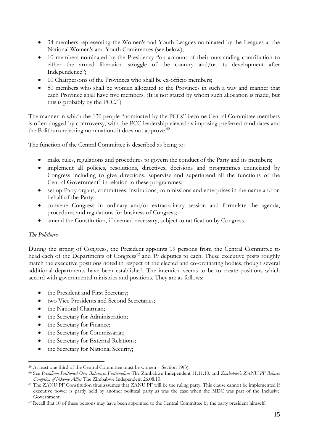- 34 members representing the Women's and Youth Leagues nominated by the Leagues at the National Women's and Youth Conferences (see below);
- 10 members nominated by the Presidency "on account of their outstanding contribution to either the armed liberation struggle of the country and/or its development after Independence";
- 10 Chairpersons of the Provinces who shall be ex-officio members;
- 50 members who shall be women allocated to the Provinces in such a way and manner that each Province shall have five members. (It is not stated by whom such allocation is made, but this is probably by the PCC.<sup>59</sup>)

The manner in which the 130 people "nominated by the PCCs" become Central Committee members is often dogged by controversy, with the PCC leadership viewed as imposing preferred candidates and the Politburo rejecting nominations it does not approve.<sup>60</sup>

The function of the Central Committee is described as being to:

- make rules, regulations and procedures to govern the conduct of the Party and its members;
- implement all policies, resolutions, directives, decisions and programmes enunciated by Congress including to give directions, supervise and superintend all the functions of the Central Government $^{61}$  in relation to these programmes;
- set up Party organs, committees, institutions, commissions and enterprises in the name and on behalf of the Party;
- convene Congress in ordinary and/or extraordinary session and formulate the agenda, procedures and regulations for business of Congress;
- amend the Constitution, if deemed necessary, subject to ratification by Congress.

# *The Politburo*

1

During the sitting of Congress, the President appoints 19 persons from the Central Committee to head each of the Departments of Congress<sup>62</sup> and 19 deputies to each. These executive posts roughly match the executive positions noted in respect of the elected and co-ordinating bodies, though several additional departments have been established. The intention seems to be to create positions which accord with governmental ministries and positions. They are as follows:

- the President and First Secretary;
- two Vice Presidents and Second Secretaries;
- the National Chairman;
- the Secretary for Administration;
- the Secretary for Finance;
- the Secretary for Commissariat;
- the Secretary for External Relations;
- the Secretary for National Security;

 $59$  At least one third of the Central Committee must be women – Section 19(3).

<sup>60</sup> See *Presidium Petitioned Over Bulawayo Factionalism* The Zimbabwe Independent 11.11.10. and *Zimbabwe's ZANU PF Refuses Co-option of Nkomo Allies* The Zimbabwe Independent 26.08.10.

<sup>&</sup>lt;sup>61</sup> The ZANU PF Constitution thus assumes that ZANU PF will be the ruling party. This clause cannot be implemented if executive power is partly held by another political party as was the case when the MDC was part of the Inclusive Government.

 $62$  Recall that 10 of these persons may have been appointed to the Central Committee by the party president himself.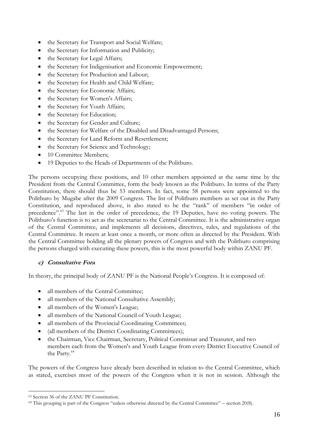- the Secretary for Transport and Social Welfare;
- the Secretary for Information and Publicity;
- the Secretary for Legal Affairs;
- the Secretary for Indigenisation and Economic Empowerment;
- the Secretary for Production and Labour;
- the Secretary for Health and Child Welfare;
- the Secretary for Economic Affairs;
- the Secretary for Women's Affairs;
- the Secretary for Youth Affairs;
- the Secretary for Education;
- the Secretary for Gender and Culture;
- the Secretary for Welfare of the Disabled and Disadvantaged Persons;
- the Secretary for Land Reform and Resettlement;
- the Secretary for Science and Technology;
- 10 Committee Members:
- 19 Deputies to the Heads of Departments of the Politburo.

The persons occupying these positions, and 10 other members appointed at the same time by the President from the Central Committee, form the body known as the Politburo. In terms of the Party Constitution, there should thus be 53 members. In fact, some 58 persons were appointed to the Politburo by Mugabe after the 2009 Congress. The list of Politburo members as set out in the Party Constitution, and reproduced above, is also stated to be the "rank" of members "in order of precedence".<sup>63</sup> The last in the order of precedence, the 19 Deputies, have no voting powers. The Politburo's function is to act as the secretariat to the Central Committee. It is the administrative organ of the Central Committee, and implements all decisions, directives, rules, and regulations of the Central Committee. It meets at least once a month, or more often as directed by the President. With the Central Committee holding all the plenary powers of Congress and with the Politburo comprising the persons charged with executing these powers, this is the most powerful body within ZANU PF.

# **c) Consultative Fora**

In theory, the principal body of ZANU PF is the National People"s Congress. It is composed of:

- all members of the Central Committee;
- all members of the National Consultative Assembly;
- all members of the Women's League;
- all members of the National Council of Youth League;
- all members of the Provincial Coordinating Committees;
- (all members of the District Coordinating Committees);
- the Chairman, Vice Chairman, Secretary, Political Commissar and Treasurer, and two members each from the Women's and Youth League from every District Executive Council of the Party.<sup>64</sup>

The powers of the Congress have already been described in relation to the Central Committee, which as stated, exercises most of the powers of the Congress when it is not in session. Although the

<sup>63</sup> Section 36 of the ZANU PF Constitution.

<sup>64</sup> This grouping is part of the Congress "unless otherwise directed by the Central Committee" – section 20(8).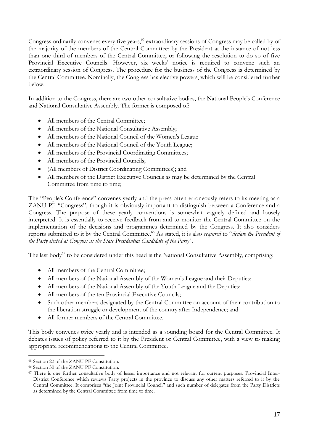Congress ordinarily convenes every five years,<sup>65</sup> extraordinary sessions of Congress may be called by of the majority of the members of the Central Committee; by the President at the instance of not less than one third of members of the Central Committee, or following the resolution to do so of five Provincial Executive Councils. However, six weeks' notice is required to convene such an extraordinary session of Congress. The procedure for the business of the Congress is determined by the Central Committee. Nominally, the Congress has elective powers, which will be considered further below.

In addition to the Congress, there are two other consultative bodies, the National People's Conference and National Consultative Assembly. The former is composed of:

- All members of the Central Committee;
- All members of the National Consultative Assembly;
- All members of the National Council of the Women's League
- All members of the National Council of the Youth League;
- All members of the Provincial Coordinating Committees;
- All members of the Provincial Councils;
- (All members of District Coordinating Committees); and
- All members of the District Executive Councils as may be determined by the Central Committee from time to time;

The "People's Conference" convenes yearly and the press often erroneously refers to its meeting as a ZANU PF "Congress", though it is obviously important to distinguish between a Conference and a Congress. The purpose of these yearly conventions is somewhat vaguely defined and loosely interpreted. It is essentially to receive feedback from and to monitor the Central Committee on the implementation of the decisions and programmes determined by the Congress. It also considers reports submitted to it by the Central Committee.<sup>66</sup> As stated, it is also *required* to "*declare the President of the Party elected at Congress as the State Presidential Candidate of the Party‖.*

The last body $67$  to be considered under this head is the National Consultative Assembly, comprising:

- All members of the Central Committee;
- All members of the National Assembly of the Women's League and their Deputies;
- All members of the National Assembly of the Youth League and the Deputies;
- All members of the ten Provincial Executive Councils:
- Such other members designated by the Central Committee on account of their contribution to the liberation struggle or development of the country after Independence; and
- All former members of the Central Committee.

This body convenes twice yearly and is intended as a sounding board for the Central Committee. It debates issues of policy referred to it by the President or Central Committee, with a view to making appropriate recommendations to the Central Committee.

<sup>1</sup> <sup>65</sup> Section 22 of the ZANU PF Constitution.

<sup>66</sup> Section 30 of the ZANU PF Constitution.

<sup>&</sup>lt;sup>67</sup> There is one further consultative body of lesser importance and not relevant for current purposes. Provincial Inter-District Conference which reviews Party projects in the province to discuss any other matters referred to it by the Central Committee. It comprises "the Joint Provincial Council" and such number of delegates from the Party Districts as determined by the Central Committee from time to time.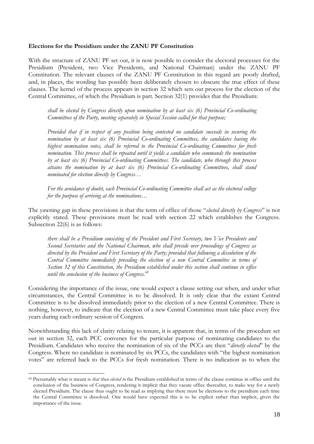## **Elections for the Presidium under the ZANU PF Constitution**

With the structure of ZANU PF set out, it is now possible to consider the electoral processes for the Presidium (President, two Vice Presidents, and National Chairman) under the ZANU PF Constitution. The relevant clauses of the ZANU PF Constitution in this regard are poorly drafted, and, in places, the wording has possibly been deliberately chosen to obscure the true effect of these clauses. The kernel of the process appears in section 32 which sets out process for the election of the Central Committee, of which the Presidium is part. Section 32(1) provides that the Presidium:

*shall be elected by Congress directly upon nomination by at least six (6) Provincial Co-ordinating Committees of the Party, meeting separately in Special Session called for that purpose;*

*Provided that if in respect of any position being contested no candidate succeeds in securing the nomination by at least six (6) Provincial Co-ordinating Committees, the candidates having the highest nomination votes, shall be referred to the Provincial Co-ordinating Committees for fresh nomination. This process shall be repeated until it yields a candidate who commands the nomination by at least six (6) Provincial Co-ordinating Committees. The candidate, who through this process attains the nomination by at least six (6) Provincial Co-ordinating Committees, shall stand nominated for election directly by Congress…*

*For the avoidance of doubt, each Provincial Co-ordinating Committee shall act as the electoral college for the purpose of arriving at the nominations…*

The yawning gap in these provisions is that the term of office of those "*elected directly by Congress*" is not explicitly stated. These provisions must be read with section 22 which establishes the Congress. Subsection 22(6) is as follows:

*there shall be a Presidium consisting of the President and First Secretary, two Vice Presidents and Second Secretaries and the National Chairman, who shall preside over proceedings of Congress as directed by the President and First Secretary of the Party; provided that following a dissolution of the Central Committee immediately preceding the election of a new Central Committee in terms of Section 32 of this Constitution, the Presidium established under this section shall continue in office until the conclusion of the business of Congress.<sup>68</sup>*

Considering the importance of the issue, one would expect a clause setting out when, and under what circumstances, the Central Committee is to be dissolved. It is only clear that the extant Central Committee is to be dissolved immediately prior to the election of a new Central Committee. There is nothing, however, to indicate that the election of a new Central Committee must take place every five years during each ordinary session of Congress.

Notwithstanding this lack of clarity relating to tenure, it is apparent that, in terms of the procedure set out in section 32, each PCC convenes for the particular purpose of nominating candidates to the Presidium. Candidates who receive the nomination of six of the PCCs are then "*directly elected*" by the Congress. Where no candidate is nominated by six PCCs, the candidates with "the highest nomination votes" are referred back to the PCCs for fresh nomination. There is no indication as to when the

<sup>68</sup> Presumably what is meant is *that those elected to* the Presidium established in terms of the clause continue in office until the conclusion of the business of Congress, rendering it implicit that they vacate office thereafter, to make way for a newly elected Presidium. The clause thus ought to be read as implying that there must be elections to the presidium each time the Central Committee is dissolved. One would have expected this is to be explicit rather than implicit, given the importance of the issue.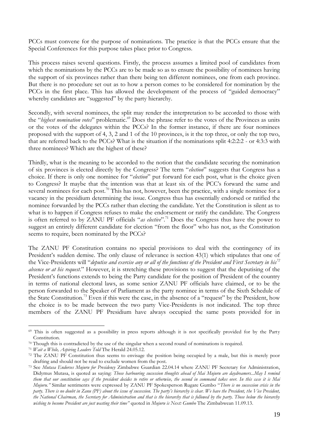PCCs must convene for the purpose of nominations. The practice is that the PCCs ensure that the Special Conferences for this purpose takes place prior to Congress.

This process raises several questions. Firstly, the process assumes a limited pool of candidates from which the nominations by the PCCs are to be made so as to ensure the possibility of nominees having the support of six provinces rather than there being ten different nominees, one from each province. But there is no procedure set out as to how a person comes to be considered for nomination by the PCCs in the first place. This has allowed the development of the process of "guided democracy" whereby candidates are "suggested" by the party hierarchy.

Secondly, with several nominees, the split may render the interpretation to be accorded to those with the "*highest nomination votes*" problematic.<sup>69</sup> Does the phrase refer to the votes of the Provinces as units or the votes of the delegates within the PCCs? In the former instance, if there are four nominees proposed with the support of 4, 3, 2 and 1 of the 10 provinces, is it the top three, or only the top two, that are referred back to the PCCs? What is the situation if the nominations split 4:2:2:2 - or 4:3:3 with three nominees? Which are the highest of these?

Thirdly, what is the meaning to be accorded to the notion that the candidate securing the nomination of six provinces is elected directly by the Congress? The term "*election*" suggests that Congress has a choice. If there is only one nominee for "*election*" put forward for each post, what is the choice given to Congress? It maybe that the intention was that at least six of the PCC"s forward the same and several nominees for each post.<sup>70</sup> This has not, however, been the practice, with a single nominee for a vacancy in the presidium determining the issue. Congress thus has essentially endorsed or ratified the nominee forwarded by the PCCs rather than electing the candidate. Yet the Constitution is silent as to what is to happen if Congress refuses to make the endorsement or ratify the candidate. The Congress is often referred to by ZANU PF officials "*as elective*".<sup>71</sup> Does the Congress thus have the power to suggest an entirely different candidate for election "from the floor" who has not, as the Constitution seems to require, been nominated by the PCCs?

The ZANU PF Constitution contains no special provisions to deal with the contingency of its President's sudden demise. The only clause of relevance is section 43(1) which stipulates that one of the Vice-Presidents will "*deputise and exercise any or all of the functions of the President and First Secretary in his<sup>72</sup> absence or at his request*." However, it is stretching these provisions to suggest that the deputising of the President's functions extends to being the Party candidate for the position of President of the country in terms of national electoral laws, as some senior ZANU PF officials have claimed, or to be the person forwarded to the Speaker of Parliament as the party nominee in terms of the Sixth Schedule of the State Constitution.<sup>73</sup> Even if this were the case, in the absence of a "request" by the President, how the choice is to be made between the two party Vice-Presidents is not indicated. The top three members of the ZANU PF Presidium have always occupied the same posts provided for in

<sup>69</sup> This is often suggested as a possibility in press reports although it is not specifically provided for by the Party Constitution.

 $70$  Though this is contradicted by the use of the singular when a second round of nominations is required.

<sup>71</sup> *Wait a While, Aspiring Leaders Told* The Herald 24.05.12.

<sup>72</sup> The ZANU PF Constitution thus seems to envisage the position being occupied by a male, but this is merely poor drafting and should not be read to exclude women from the post.

<sup>73</sup> See *Mutasa Endorses Mujuru for Presidency* Zimbabwe Guardian 22.04.14 where ZANU PF Secretary for Administration, Didymus Mutasa, is quoted as saying: *Those harbouring succession thoughts ahead of Mai Mujuru are daydreamers...May I remind them that our constitution says if the president decides to retire or otherwise, the second in command takes over. In this case it is Mai Mujuru.‖* Similar sentiments were expressed by ZANU PF Spokesperson Rugare Gumbo "*There is no succession crisis in the party. There is no doubt in Zanu* (PF) about the issue of succession. The party's hierarchy is clear. We have the President, the Vice President, *the National Chairman, the Secretary for Administration and that is the hierarchy that is followed by the party. Those below the hierarchy wishing to become President are just wasting their time‖* quoted in *Mujuru is Next: Gumbo* The Zimbabwean 11.09.13.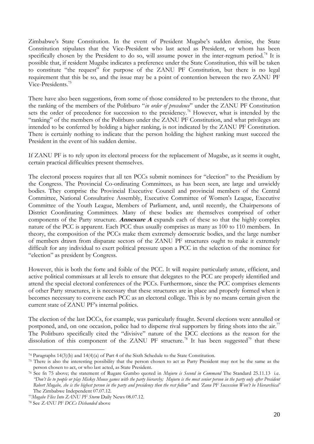Zimbabwe"s State Constitution. In the event of President Mugabe"s sudden demise, the State Constitution stipulates that the Vice-President who last acted as President, or whom has been specifically chosen by the President to do so, will assume power in the inter-regnum period.<sup>74</sup> It is possible that, if resident Mugabe indicates a preference under the State Constitution, this will be taken to constitute "the request" for purpose of the ZANU PF Constitution, but there is no legal requirement that this be so, and the issue may be a point of contention between the two ZANU PF Vice-Presidents.<sup>75</sup>

There have also been suggestions, from some of those considered to be pretenders to the throne, that the ranking of the members of the Politburo "*in order of precedence*" under the ZANU PF Constitution sets the order of precedence for succession to the presidency.<sup>76</sup> However, what is intended by the "ranking" of the members of the Politburo under the ZANU PF Constitution, and what privileges are intended to be conferred by holding a higher ranking, is not indicated by the ZANU PF Constitution. There is certainly nothing to indicate that the person holding the highest ranking must succeed the President in the event of his sudden demise.

If ZANU PF is to rely upon its electoral process for the replacement of Mugabe, as it seems it ought, certain practical difficulties present themselves.

The electoral process requires that all ten PCCs submit nominees for "election" to the Presidium by the Congress. The Provincial Co-ordinating Committees, as has been seen, are large and unwieldy bodies. They comprise the Provincial Executive Council and provincial members of the Central Committee, National Consultative Assembly, Executive Committee of Women's League, Executive Committee of the Youth League, Members of Parliament, and, until recently, the Chairpersons of District Coordinating Committees. Many of these bodies are themselves comprised of other components of the Party structure. **Annexure A** expands each of these so that the highly complex nature of the PCC is apparent. Each PCC thus usually comprises as many as 100 to 110 members. In theory, the composition of the PCCs make them extremely democratic bodies, and the large number of members drawn from disparate sectors of the ZANU PF structures ought to make it extremely difficult for any individual to exert political pressure upon a PCC in the selection of the nominee for "election" as president by Congress.

However, this is both the forte and foible of the PCC. It will require particularly astute, efficient, and active political commissars at all levels to ensure that delegates to the PCC are properly identified and attend the special electoral conferences of the PCCs. Furthermore, since the PCC comprises elements of other Party structures, it is necessary that these structures are in place and properly formed when it becomes necessary to convene each PCC as an electoral college. This is by no means certain given the current state of ZANU PF's internal politics.

The election of the last DCCs, for example, was particularly fraught. Several elections were annulled or postponed, and, on one occasion, police had to disperse rival supporters by firing shots into the air.<sup>77</sup> The Politburo specifically cited the "divisive" nature of the DCC elections as the reason for the dissolution of this component of the ZANU PF structure.<sup>78</sup> It has been suggested<sup>79</sup> that these

<sup>74</sup> Paragraphs 14(3)(b) and 14(4)(a) of Part 4 of the Sixth Schedule to the State Constitution.

<sup>&</sup>lt;sup>75</sup> There is also the interesting possibility that the person chosen to act as Party President may not be the same as the person chosen to act, or who last acted, as State President.

<sup>76</sup> See fn 75 above; the statement of Rugare Gumbo quoted in *Mujuru is Second in Command* The Standard 25.11.13 i.e. *―Don't lie to people or play Mickey Mouse games with the party hierarchy; Mujuru is the most senior person in the party only after President Robert Mugabe, she is the highest person in the party and presidency then the rest follow‖* and *‗Zanu PF Succession Won't be Hierarchical'*  The Zimbabwe Independent 07.07.12.

<sup>77</sup>*Mugabe Flies Into ZANU PF Storm* Daily News 08.07.12.

<sup>78</sup> See *ZANU PF DCCs Disbanded* above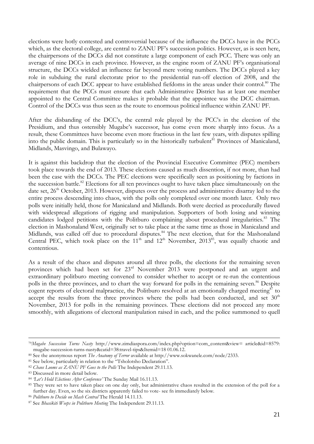elections were hotly contested and controversial because of the influence the DCCs have in the PCCs which, as the electoral college, are central to ZANU PF's succession politics. However, as is seen here, the chairpersons of the DCCs did not constitute a large component of each PCC. There was only an average of nine DCCs in each province. However, as the engine room of ZANU PF"s organisational structure, the DCCs wielded an influence far beyond mere voting numbers. The DCCs played a key role in subduing the rural electorate prior to the presidential run-off election of 2008, and the chairpersons of each DCC appear to have established fiefdoms in the areas under their control.<sup>80</sup> The requirement that the PCCs must ensure that each Administrative District has at least one member appointed to the Central Committee makes it probable that the appointee was the DCC chairman. Control of the DCCs was thus seen as the route to enormous political influence within ZANU PF.

After the disbanding of the DCC"s, the central role played by the PCC"s in the election of the Presidium, and thus ostensibly Mugabe's successor, has come even more sharply into focus. As a result, these Committees have become even more fractious in the last few years, with disputes spilling into the public domain. This is particularly so in the historically turbulent<sup>81</sup> Provinces of Manicaland, Midlands, Masvingo, and Bulawayo.

It is against this backdrop that the election of the Provincial Executive Committee (PEC) members took place towards the end of 2013. These elections caused as much dissention, if not more, than had been the case with the DCCs. The PEC elections were specifically seen as positioning by factions in the succession battle.<sup>82</sup> Elections for all ten provinces ought to have taken place simultaneously on the date set,  $26<sup>th</sup> October, 2013. However, disputes over the process and administrative disarray led to the$ entire process descending into chaos, with the polls only completed over one month later. Only two polls were initially held, those for Manicaland and Midlands. Both were decried as procedurally flawed with widespread allegations of rigging and manipulation. Supporters of both losing and winning candidates lodged petitions with the Politburo complaining about procedural irregularities.<sup>83</sup> The election in Mashonaland West, originally set to take place at the same time as those in Manicaland and Midlands, was called off due to procedural disputes.<sup>84</sup> The next election, that for the Mashonaland Central PEC, which took place on the  $11<sup>th</sup>$  and  $12<sup>th</sup>$  November,  $2013<sup>85</sup>$ , was equally chaotic and contentious.

As a result of the chaos and disputes around all three polls, the elections for the remaining seven provinces which had been set for 23rd November 2013 were postponed and an urgent and extraordinary politburo meeting convened to consider whether to accept or re-run the contentious polls in the three provinces, and to chart the way forward for polls in the remaining seven.<sup>86</sup> Despite cogent reports of electoral malpractice, the Politburo resolved at an emotionally charged meeting<sup>87</sup> to accept the results from the three provinces where the polls had been conducted, and set  $30<sup>th</sup>$ November, 2013 for polls in the remaining provinces. These elections did not proceed any more smoothly, with allegations of electoral manipulation raised in each, and the police summoned to quell

<sup>79</sup>*Mugabe Succession Turns Nasty* http://www.zimdiaspora.com/index.php?option=com\_content&view= article&id=8579: mugabe-succession-turns-nasty&catid=38:travel-tips&Itemid=18 01.06.12.

<sup>80</sup> See the anonymous report *The Anatomy of Terror* available at http://www.sokwanele.com/node/2333.

<sup>&</sup>lt;sup>81</sup> See below, particularly in relation to the "Tsholotsho Declaration".

<sup>82</sup> *Chaos Looms as ZANU PF Goes to the Polls* The Independent 29.11.13.

<sup>83</sup> Discussed in more detail below.

<sup>84</sup> *‗Let's Hold Elections After Conference'* The Sunday Mail 16.11.13.

<sup>&</sup>lt;sup>85</sup> They were set to have taken place on one day only, but administrative chaos resulted in the extension of the poll for a further day. Even, so the six districts apparently failed to vote- see fn immediately below.

<sup>86</sup> *Politburo to Decide on Mash Central* The Herald 14.11.13.

<sup>87</sup> See *Bhasikiti Weeps in Politburo Meeting* The Independent 29.11.13.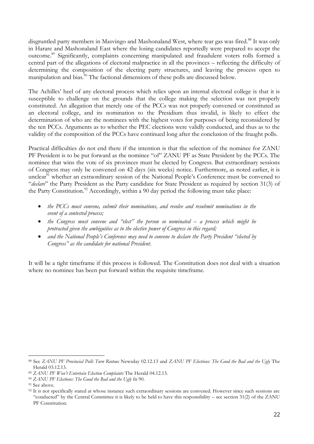disgruntled party members in Masvingo and Mashonaland West, where tear gas was fired.<sup>88</sup> It was only in Harare and Mashonaland East where the losing candidates reportedly were prepared to accept the outcome.<sup>89</sup> Significantly, complaints concerning manipulated and fraudulent voters rolls formed a central part of the allegations of electoral malpractice in all the provinces – reflecting the difficulty of determining the composition of the electing party structures, and leaving the process open to manipulation and bias.<sup>50</sup> The factional dimensions of these polls are discussed below.<sup>7</sup>

The Achilles" heel of any electoral process which relies upon an internal electoral college is that it is susceptible to challenge on the grounds that the college making the selection was not properly constituted. An allegation that merely one of the PCCs was not properly convened or constituted as an electoral college, and its nomination to the Presidium thus invalid, is likely to effect the determination of who are the nominees with the highest votes for purposes of being reconsidered by the ten PCCs. Arguments as to whether the PEC elections were validly conducted, and thus as to the validity of the composition of the PCCs have continued long after the conclusion of the fraught polls.

Practical difficulties do not end there if the intention is that the selection of the nominee for ZANU PF President is to be put forward as the nominee "of" ZANU PF as State President by the PCCs. The nominee that wins the vote of six provinces must be elected by Congress. But extraordinary sessions of Congress may only be convened on 42 days (six weeks) notice. Furthermore, as noted earlier, it is unclear<sup>91</sup> whether an extraordinary session of the National People's Conference must be convened to "*declare*" the Party President as the Party candidate for State President as required by section 31(3) of the Party Constitution.<sup>92</sup> Accordingly, within a 90 day period the following must take place:

- *the PCCs must convene, submit their nominations, and resolve and resubmit nominations in the event of a contested process;*
- the Congress must convene and "elect" the person so nominated a process which might be *protracted given the ambiguities as to the elective power of Congress in this regard;*
- and the National People's Conference may need to convene to declare the Party President "elected by *Congress‖ as the candidate for national President.*

It will be a tight timeframe if this process is followed. The Constitution does not deal with a situation where no nominee has been put forward within the requisite timeframe.

<sup>88</sup> See *ZANU PF Provincial Polls Turn Riotous* Newsday 02.12.13 and *ZANU PF Elections: The Good the Bad and the Ugly* The Herald 03.12.13.

<sup>89</sup> *ZANU PF Won't Entertain Election Complaints* The Herald 04.12.13.

<sup>90</sup> *ZANU PF Elections: The Good the Bad and the Ugly* fn 90.

<sup>91</sup> See above.

<sup>&</sup>lt;sup>92</sup> It is not specifically stated at whose instance such extraordinary sessions are convened. However since such sessions are "conducted" by the Central Committee it is likely to be held to have this responsibility – see section 31(2) of the ZANU PF Constitution.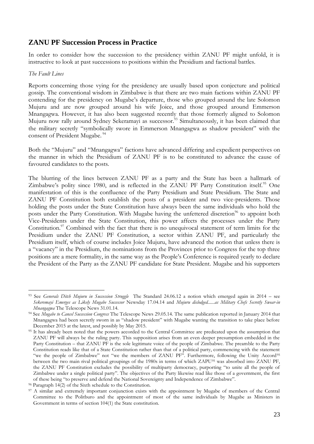# **ZANU PF Succession Process in Practice**

In order to consider how the succession to the presidency within ZANU PF might unfold, it is instructive to look at past successions to positions within the Presidium and factional battles.

#### *The Fault Lines*

Reports concerning those vying for the presidency are usually based upon conjecture and political gossip. The conventional wisdom in Zimbabwe is that there are two main factions within ZANU PF contending for the presidency on Mugabe's departure, those who grouped around the late Solomon Mujuru and are now grouped around his wife Joice, and those grouped around Emmerson Mnangagwa. However, it has also been suggested recently that those formerly aligned to Solomon Mujuru now rally around Sydney Sekeramayi as successor.<sup>93</sup> Simultaneously, it has been claimed that the military secretly "symbolically swore in Emmerson Mnangagwa as shadow president" with the consent of President Mugabe.<sup>94</sup>

Both the "Mujuru" and "Mnangagwa" factions have advanced differing and expedient perspectives on the manner in which the Presidium of ZANU PF is to be constituted to advance the cause of favoured candidates to the posts.

The blurring of the lines between ZANU PF as a party and the State has been a hallmark of Zimbabwe's polity since 1980, and is reflected in the ZANU PF Party Constitution itself.<sup>95</sup> One manifestation of this is the confluence of the Party Presidium and State Presidium. The State and ZANU PF Constitution both establish the posts of a president and two vice-presidents. Those holding the posts under the State Constitution have always been the same individuals who hold the posts under the Party Constitution. With Mugabe having the unfettered discretion<sup>96</sup> to appoint both Vice-Presidents under the State Constitution, this power affects the processes under the Party Constitution.<sup>97</sup> Combined with the fact that there is no unequivocal statement of term limits for the Presidium under the ZANU PF Constitution, a sector within ZANU PF, and particularly the Presidium itself, which of course includes Joice Mujuru, have advanced the notion that unless there is a "vacancy" in the Presidium, the nominations from the Provinces prior to Congress for the top three positions are a mere formality, in the same way as the People"s Conference is required yearly to declare the President of the Party as the ZANU PF candidate for State President. Mugabe and his supporters

<sup>&</sup>lt;u>.</u> <sup>93</sup> See *Generals Ditch Mujuru in Succession Struggle* The Standard 24.06.12 a notion which emerged again in 2014 – see *Sekeremayi Emerges as Likely Mugabe Successor* Newsday 17.04.14 and *Mujuru dislodged......as Military Chefs Secretly Swear-in Mnangagwa* The Telescope News 31.01.14.

<sup>94</sup> See *Mugabe to Cancel Succession Congress* The Telescope News 29.05.14. The same publication reported in January 2014 that Mnangagwa had been secretly sworn in as "shadow president" with Mugabe wanting the transition to take place before December 2015 at the latest, and possibly by May 2015.

<sup>&</sup>lt;sup>95</sup> It has already been noted that the powers accorded to the Central Committee are predicated upon the assumption that ZANU PF will always be the ruling party. This supposition arises from an even deeper presumption embedded in the Party Constitution – that ZANU PF is the sole legitimate voice of the people of Zimbabwe. The preamble to the Party Constitution reads like that of a State Constitution rather than that of a political party, commencing with the statement "we the people of Zimbabwe" not "we the members of ZANU PF". Furthermore, following the Unity Accord<sup>95</sup> between the two main rival political groupings of the 1980s in terms of which ZAPU<sup>95</sup> was absorbed into ZANU PF, the ZANU PF Constitution excludes the possibility of multiparty democracy, purporting "to unite all the people of Zimbabwe under a single political party". The objectives of the Party likewise read like those of a government, the first of these being "to preserve and defend the National Sovereignty and Independence of Zimbabwe".

 $96$  Paragraph  $14(2)$  of the Sixth schedule to the Constitution.

<sup>&</sup>lt;sup>97</sup> A similar and extremely important conjunction exists with the appointment by Mugabe of members of the Central Committee to the Politburo and the appointment of most of the same individuals by Mugabe as Ministers in Government in terms of section 104(1) the State constitution.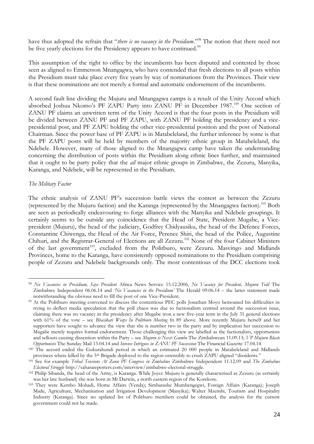have thus adopted the refrain that "*there is no vacancy in the Presidium*."<sup>98</sup> The notion that there need not be five yearly elections for the Presidency appears to have continued.<sup>99</sup>

This assumption of the right to office by the incumbents has been disputed and contested by those seen as aligned to Emmerson Mnangagwa, who have contended that fresh elections to all posts within the Presidium must take place every five years by way of nominations from the Provinces. Their view is that these nominations are not merely a formal and automatic endorsement of the incumbents.

A second fault line dividing the Mujuru and Mnangagwa camps is a result of the Unity Accord which absorbed Joshua Nkomo's PF ZAPU Party into ZANU PF in December 1987.<sup>100</sup> One section of ZANU PF claims an unwritten term of the Unity Accord is that the four posts in the Presidium will be divided between ZANU PF and PF ZAPU, with ZANU PF holding the presidency and a vicepresidential post, and PF ZAPU holding the other vice-presidential position and the post of National Chairman. Since the power base of PF ZAPU is in Matabeleland, the further inference by some is that the PF ZAPU posts will be held by members of the majority ethnic group in Matabeleland, the Ndebele. However, many of those aligned to the Mnangagwa camp have taken the understanding concerning the distribution of posts within the Presidium along ethnic lines further, and maintained that it ought to be party policy that the *all* major ethnic groups in Zimbabwe, the Zezuru, Manyika, Karanga, and Ndebele, will be represented in the Presidium.

## *The Military Factor*

<u>.</u>

The ethnic analysis of ZANU PF's succession battle views the contest as between the Zezuru (represented by the Mujuru faction) and the Karanga (represented by the Mnangagwa faction).<sup>101</sup> Both are seen as periodically endeavouring to forge alliances with the Manyika and Ndebele groupings. It certainly seems to be outside any coincidence that the Head of State, President Mugabe, a Vicepresident (Mujuru), the head of the judiciary, Godfrey Chidyausiku, the head of the Defence Forces, Constantine Chiwenga, the Head of the Air Force, Perence Shiri, the head of the Police, Augustine Chihuri, and the Registrar-General of Elections are all Zezuru.<sup>102</sup> None of the four Cabinet Ministers of the last government<sup>103</sup>, excluded from the Politburo, were Zezuru. Masvingo and Midlands Provinces, home to the Karanga, have consistently opposed nominations to the Presidium comprising people of Zezuru and Ndebele backgrounds only. The most contentious of the DCC elections took

<sup>98</sup> *No Vacancies in Presidium, Says President* Africa News Service 15.12.2006, *No Vacancy for President, Mujuru Told* The Zimbabwe Independent 06.06.14 and *‗No Vacancies in the Presidium'* The Herald 09.06.14 – the latter statement made notwithstanding the obvious need to fill the post of one Vice-President.

<sup>99</sup> At the Politburo meeting convened to discuss the contentious PEC polls Jonathan Moyo bemoaned his difficulties in trying to deflect media speculation that the poll chaos was due to factionalism centred around the succession issue, claiming there was no vacancy in the presidency after Mugabe won a new five-year term in the July 31 general elections with 61% of the vote – see *Bhasikati Weeps In Politburo Meeting* fn 89 above. More recently Mujuru herself and her supporters have sought to advance the view that she is number two in the party and by implication her succession to Mugabe merely requires formal endorsement. Those challenging this view are labelled as the factionalists, opportunists and sellouts causing dissention within the Party – see *Mujuru is Next: Gumbo* The Zimbabwean 11.09.13; *VP Mujuru Blasts Opportunists* The Sunday Mail 13.04.14 and *Intense Intrigues in ZANU PF Succession* The Financial Gazette 17.04.14.

<sup>100</sup> The accord ended the Gukurahundi period in which an estimated 20 000 people in Matabeleland and Midlands provinces where killed by the 5<sup>th</sup> Brigade deployed to the region ostensibly to crush ZAPU aligned "dissidents."

<sup>101</sup> See for example *Tribal Tensions At Zanu PF Congress in Zimbabwe* Zimbabwe Independent 11.12.09 and *The Zimbabwe Electoral Struggle* http://saharareporters.com/interview/zimbabwe-electoral-struggle.

<sup>102</sup> Philip Sibanda, the head of the Army, is Karanga. While Joyce Mujuru is generally characterised as Zezuru (as certainly was her late husband) she was born in Mt Darwin, a north eastern region of the Korekore.

<sup>103</sup> They were Kembo Mohadi, Home Affairs (Venda); Simbarashe Mumbengegwi, Foreign Affairs (Karanga); Joseph Made, Agriculture, Mechanisation and Irrigation Development (Manyika); Walter Mzembi, Tourism and Hospitality Industry (Karanga). Since no updated list of Politburo members could be obtained, the analysis for the current government could not be made.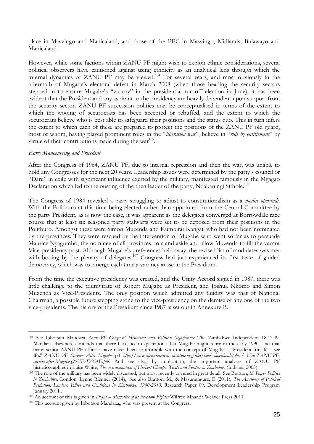place in Masvingo and Manicaland, and those of the PEC in Masvingo, Midlands, Bulawayo and Manicaland.

However, while some factions within ZANU PF might wish to exploit ethnic considerations, several political observers have cautioned against using ethnicity as an analytical lens through which the internal dynamics of ZANU PF may be viewed.<sup>104</sup> For several years, and most obviously in the aftermath of Mugabe's electoral defeat in March 2008 (when those heading the security sectors stepped in to ensure Mugabe's "victory" in the presidential run-off election in June), it has been evident that the President and any aspirant to the presidency are heavily dependent upon support from the security sector. ZANU PF succession politics may be conceptualised in terms of the extent to which the wooing of securocrats has been accepted or rebuffed, and the extent to which the securocrats believe who is best able to safeguard their positions and the status quo. This in turn infers the extent to which each of these are prepared to protect the positions of the ZANU PF old guard, most of whom, having played prominent roles in the "*liberation war*", believe in "*rule by entitlement*" by virtue of their contributions made during the war $105$ .

## *Early Manoeuvring and Precedent*

After the Congress of 1964, ZANU PF, due to internal repression and then the war, was unable to hold any Congresses for the next 20 years. Leadership issues were determined by the party's council or "Dare" in exile with significant influence exerted by the military, manifested famously in the Mgagao Declaration which led to the ousting of the then leader of the party, Ndabaningi Sithole.<sup>106</sup>

The Congress of 1984 revealed a party struggling to adjust to constitutionalism as a *modus operandi.* With the Politburo at this time being elected rather than appointed from the Central Committee by the party President, as is now the case, it was apparent as the delegates converged at Borrowdale race course that at least six seasoned party stalwarts were set to be deposed from their positions in the Politburo. Amongst these were Simon Muzenda and Kumbirai Kangai, who had not been nominated by the provinces. They were rescued by the intervention of Mugabe who went so far as to persuade Maurice Nyagumbo, the nominee of all provinces, to stand aside and allow Muzenda to fill the vacant Vice-presidency post. Although Mugabe"s preferences held sway, the revised list of candidates was met with booing by the plenary of delegates.<sup>107</sup> Congress had just experienced its first taste of guided democracy, which was to emerge each time a vacancy arose in the Presidium.

From the time the executive presidency was created, and the Unity Accord signed in 1987, there was little challenge to the triumvirate of Robert Mugabe as President, and Joshua Nkomo and Simon Muzenda as Vice-Presidents. The only position which admitted any fluidity was that of National Chairman, a possible future stepping stone to the vice-presidency on the demise of any one of the two vice-presidents. The history of the Presidium since 1987 is set out in Annexure B.

<sup>1</sup> <sup>104</sup> See Ibbotson Mandaza *Zanu PF Congress' Historical and Political Significance* The Zimbabwe Independent 18.12.09. Mandaza elsewhere contends that there have been expectations that Mugabe might retire in the early 1990s and that many senior ZANU PF officials have never been comfortable with the concept of Mugabe as President-for-life – see *Will ZANU PF Survive After Mugabe* p3 *http://www.africaresearch institute.org/files/book-downloads/docs/ Will-ZANU-PFsurvive-after-Mugabe-Q5UF7JVG4U.pdf.* And see also, by implication, the important analyses of ZANU PF historiographies in Luise White, *The Assassination of Herbert Chitepo: Texts and Politics in Zimbabwe* (Indiana, 2003).

<sup>105</sup> The role of the military has been widely discussed, but most recently covered in great detail. See Bratton, M *Power Politics in Zimbabwe.* London: Lynne Rienner (2014),. See also Bratton. M., & Masunungure, E (2011), *The Anatomy of Political Predation: Leaders, Elites and Coalitions in Zimbabwe, 1980-2010*. Research Paper 09. Development Leadership Program January 2011..

<sup>106</sup> An account of this is given in *Dzino – Memories of as Freedom Fighter* Wilfred Mhanda Weaver Press 2011.

<sup>107</sup> This account given by Ibbotson Mandaza,, who was present at the Congress.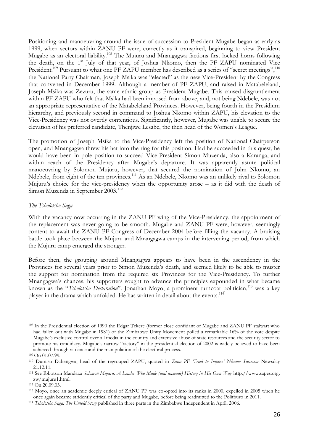Positioning and manoeuvring around the issue of succession to President Mugabe began as early as 1999, when sectors within ZANU PF were, correctly as it transpired, beginning to view President Mugabe as an electoral liability.<sup>108</sup> The Mujuru and Mnangagwa factions first locked horns following the death, on the 1<sup>st</sup> July of that year, of Joshua Nkomo, then the PF ZAPU nominated Vice President.<sup>109</sup> Pursuant to what one PF ZAPU member has described as a series of "secret meetings",<sup>110</sup> the National Party Chairman, Joseph Msika was "elected" as the new Vice-President by the Congress that convened in December 1999. Although a member of PF ZAPU, and raised in Matabeleland, Joseph Msika was Zezuru, the same ethnic group as President Mugabe. This caused disgruntlement within PF ZAPU who felt that Msika had been imposed from above, and, not being Ndebele, was not an appropriate representative of the Matabeleland Provinces. However, being fourth in the Presidium hierarchy, and previously second in command to Joshua Nkomo within ZAPU, his elevation to the Vice-Presidency was not overtly contentious. Significantly, however, Mugabe was unable to secure the elevation of his preferred candidate, Thenjiwe Lesabe, the then head of the Women"s League.

The promotion of Joseph Msika to the Vice-Presidency left the position of National Chairperson open, and Mnangagwa threw his hat into the ring for this position. Had he succeeded in this quest, he would have been in pole position to succeed Vice-President Simon Muzenda, also a Karanga, and within reach of the Presidency after Mugabe's departure. It was apparently astute political manoeuvring by Solomon Mujuru, however, that secured the nomination of John Nkomo, an Ndebele, from eight of the ten provinces.<sup>111</sup> As an Ndebele, Nkomo was an unlikely rival to Solomon Mujuru's choice for the vice-presidency when the opportunity arose – as it did with the death of Simon Muzenda in September 2003.<sup>112</sup>

#### *The Tsholotsho Saga*

With the vacancy now occurring in the ZANU PF wing of the Vice-Presidency, the appointment of the replacement was never going to be smooth. Mugabe and ZANU PF were, however, seemingly content to await the ZANU PF Congress of December 2004 before filling the vacancy. A bruising battle took place between the Mujuru and Mnangagwa camps in the intervening period, from which the Mujuru camp emerged the stronger.

Before then, the grouping around Mnangagwa appears to have been in the ascendency in the Provinces for several years prior to Simon Muzenda"s death, and seemed likely to be able to muster the support for nomination from the required six Provinces for the Vice-Presidency. To further Mnangagwa"s chances, his supporters sought to advance the principles expounded in what became known as the "*Tsholotsho Declaration*". Jonathan Moyo, a prominent turncoat politician,<sup>113</sup> was a key player in the drama which unfolded. He has written in detail about the events.<sup>114</sup>

<sup>108</sup> In the Presidential election of 1990 the Edgar Tekere (former close confidant of Mugabe and ZANU PF stalwart who had fallen out with Mugabe in 1981) of the Zimbabwe Unity Movement polled a remarkable 16% of the vote despite Mugabe"s exclusive control over all media in the country and extensive abuse of state resources and the security sector to promote his candidacy. Mugabe's narrow "victory" in the presidential election of 2002 is widely believed to have been achieved through violence and the manipulation of the electoral process.

<sup>109</sup> On 01.07.99.

<sup>110</sup> Dumiso Dabengwa, head of the regrouped ZAPU, quoted in *Zanu PF ‗Tried to Impose' Nkomo Successor* Newsday 21.12.11.

<sup>111</sup> See Ibbotson Mandaza *Solomon Mujuru: A Leader Who Made (and unmade) History in His Own Way* http://www.sapes.org. zw/mujuru1.html.

<sup>112</sup> On 20.09.03.

<sup>113</sup> Moyo, once an academic deeply critical of ZANU PF was co-opted into its ranks in 2000, expelled in 2005 when he once again became stridently critical of the party and Mugabe, before being readmitted to the Politburo in 2011.

<sup>114</sup> *Tsholotsho Saga: The Untold Story* published in three parts in the Zimbabwe Independent in April, 2006.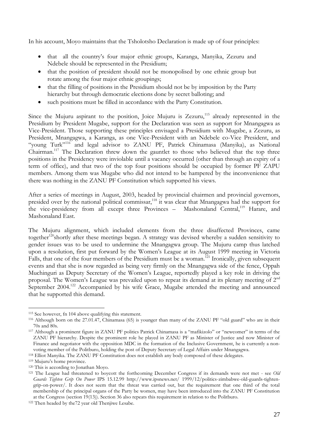In his account, Moyo maintains that the Tsholotsho Declaration is made up of four principles:

- that all the country"s four major ethnic groups, Karanga, Manyika, Zezuru and Ndebele should be represented in the Presidium;
- that the position of president should not be monopolised by one ethnic group but rotate among the four major ethnic groupings;
- that the filling of positions in the Presidium should not be by imposition by the Party hierarchy but through democratic elections done by secret balloting; and
- such positions must be filled in accordance with the Party Constitution.

Since the Mujuru aspirant to the position, Joice Mujuru is Zezuru, $115$  already represented in the Presidium by President Mugabe, support for the Declaration was seen as support for Mnangagwa as Vice-President. Those supporting these principles envisaged a Presidium with Mugabe, a Zezuru, as President, Mnangagwa, a Karanga, as one Vice-President with an Ndebele co-Vice President, and "young Turk"<sup>116</sup> and legal advisor to ZANU PF, Patrick Chinamasa (Manyika), as National Chairman.<sup>117</sup> The Declaration threw down the gauntlet to those who believed that the top three positions in the Presidency were inviolable until a vacancy occurred (other than through an expiry of a term of office), and that two of the top four positions should be occupied by former PF ZAPU members. Among them was Mugabe who did not intend to be hampered by the inconvenience that there was nothing in the ZANU PF Constitution which supported his views.

After a series of meetings in August, 2003, headed by provincial chairmen and provincial governors, presided over by the national political commissar,<sup>118</sup> it was clear that Mnangagwa had the support for the vice-presidency from all except three Provinces - Mashonaland Central,<sup>119</sup> Harare, and Mashonaland East.

The Mujuru alignment, which included elements from the three disaffected Provinces, came together<sup>120</sup>shortly after these meetings began. A strategy was devised whereby a sudden sensitivity to gender issues was to be used to undermine the Mnangagwa group. The Mujuru camp thus latched upon a resolution, first put forward by the Women"s League at its August 1999 meeting in Victoria Falls, that one of the four members of the Presidium must be a woman.<sup>121</sup> Ironically, given subsequent events and that she is now regarded as being very firmly on the Mnangagwa side of the fence, Oppah Muchinguri as Deputy Secretary of the Women"s League, reportedly played a key role in driving the proposal. The Women's League was prevailed upon to repeat its demand at its plenary meeting of 2<sup>nd</sup> September 2004.<sup>122</sup> Accompanied by his wife Grace, Mugabe attended the meeting and announced that he supported this demand.

<sup>115</sup> See however, fn 104 above qualifying this statement.

<sup>116</sup> Although born on the 27.01.47, Chinamasa (65) is younger than many of the ZANU PF "old guard" who are in their 70s and 80s.

<sup>117</sup> Although a prominent figure in ZANU PF politics Patrick Chinamasa is a "mafikizolo" or "newcomer" in terms of the ZANU PF hierarchy. Despite the prominent role he played in ZANU PF as Minister of Justice and now Minister of Finance and negotiator with the opposition MDC in the formation of the Inclusive Government, he is currently a nonvoting member of the Politburo, holding the post of Deputy Secretary of Legal Affairs under Mnangagwa.

<sup>118</sup> Elliot Manyika. The ZANU PF Constitution does not establish any body composed of these delegates.

<sup>&</sup>lt;sup>119</sup> Mujuru's home province.

<sup>120</sup> This is according to Jonathan Moyo.

<sup>121</sup> The League had threatened to boycott the forthcoming December Congress if its demands were not met - see *Old Guards Tighten Grip On Power* IPS 15.12.99 http://www.ipsnews.net/ 1999/12/politics-zimbabwe-old-guards-tightengrip-on-power/. It does not seem that the threat was carried out, but the requirement that one third of the total membership of the principal organs of the Party be women, may have been introduced into the ZANU PF Constitution at the Congress (section 19(13)). Section 36 also repeats this requirement in relation to the Politburo.

<sup>122</sup> Then headed by the72 year old Thenjiwe Lesabe.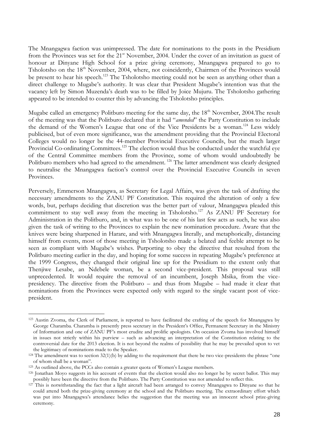The Mnangagwa faction was unimpressed. The date for nominations to the posts in the Presidium from the Provinces was set for the 21<sup>st</sup> November, 2004. Under the cover of an invitation as guest of honour at Dinyane High School for a prize giving ceremony, Mnangagwa prepared to go to Tsholotsho on the 18<sup>th</sup> November, 2004, where, not coincidently, Chairmen of the Provinces would be present to hear his speech.<sup>123</sup> The Tsholotsho meeting could not be seen as anything other than a direct challenge to Mugabe's authority. It was clear that President Mugabe's intention was that the vacancy left by Simon Muzenda"s death was to be filled by Joice Mujuru. The Tsholotsho gathering appeared to be intended to counter this by advancing the Tsholotsho principles.

Mugabe called an emergency Politburo meeting for the same day, the  $18<sup>th</sup>$  November, 2004. The result of the meeting was that the Politburo declared that it had "*amended*" the Party Constitution to include the demand of the Women's League that one of the Vice Presidents be a woman.<sup>124</sup> Less widely publicised, but of even more significance, was the amendment providing that the Provincial Electoral Colleges would no longer be the 44-member Provincial Executive Councils, but the much larger Provincial Co-ordinating Committees.<sup>125</sup> The election would thus be conducted under the watchful eye of the Central Committee members from the Province, some of whom would undoubtedly be Politburo members who had agreed to the amendment.<sup>126</sup> The latter amendment was clearly designed to neutralise the Mnangagwa faction"s control over the Provincial Executive Councils in seven Provinces.

Perversely, Emmerson Mnangagwa, as Secretary for Legal Affairs, was given the task of drafting the necessary amendments to the ZANU PF Constitution. This required the alteration of only a few words, but, perhaps deciding that discretion was the better part of valour, Mnangagwa pleaded this commitment to stay well away from the meeting in Tsholotsho.<sup>127</sup> As ZANU PF Secretary for Administration in the Politburo, and, in what was to be one of his last few acts as such, he was also given the task of writing to the Provinces to explain the new nomination procedure. Aware that the knives were being sharpened in Harare, and with Mnangagwa literally, and metaphorically, distancing himself from events, most of those meeting in Tsholotsho made a belated and feeble attempt to be seen as compliant with Mugabe's wishes. Purporting to obey the directive that resulted from the Politburo meeting earlier in the day, and hoping for some success in repeating Mugabe's preference at the 1999 Congress, they changed their original line up for the Presidium to the extent only that Thenjiwe Lesabe, an Ndebele woman, be a second vice-president. This proposal was still unprecedented. It would require the removal of an incumbent, Joseph Msika, from the vicepresidency. The directive from the Politburo – and thus from Mugabe – had made it clear that nominations from the Provinces were expected only with regard to the single vacant post of vicepresident.

<sup>123</sup> Austin Zvoma, the Clerk of Parliament, is reported to have facilitated the crafting of the speech for Mnangagwa by George Charamba. Charamba is presently press secretary in the President"s Office, Permanent Secretary in the Ministry of Information and one of ZANU PF"s most erudite and prolific apologists. On occasion Zvoma has involved himself in issues not strictly within his purview – such as advancing an interpretation of the Constitution relating to the controversial date for the 2013 election. It is not beyond the realms of possibility that he may be prevailed upon to vet the legitimacy of nominations made to the Speaker.

 $124$  The amendment was to section 32(1)(b) by adding to the requirement that there be two vice-presidents the phrase "one of whom shall be a woman".

<sup>125</sup> As outlined above, the PCCs also contain a greater quota of Women"s League members.

<sup>126</sup> Jonathan Moyo suggests in his account of events that the election would also no longer be by secret ballot. This may possibly have been the directive from the Politburo. The Party Constitution was not amended to reflect this.

 $127$  This is notwithstanding the fact that a light aircraft had been arranged to convey Mnangagwa to Dinyane so that he could attend both the prize-giving ceremony at the school and the Politburo meeting. The extraordinary effort which was put into Mnangagwa"s attendance belies the suggestion that the meeting was an innocent school prize-giving ceremony.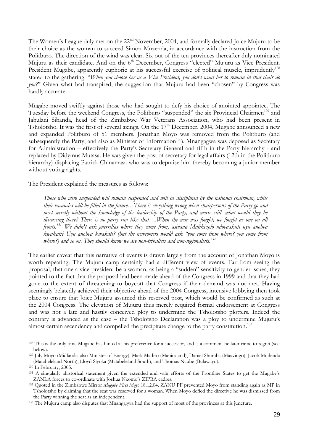The Women's League duly met on the 22<sup>nd</sup> November, 2004, and formally declared Joice Mujuru to be their choice as the woman to succeed Simon Muzenda, in accordance with the instruction from the Politburo. The direction of the wind was clear. Six out of the ten provinces thereafter duly nominated Mujuru as their candidate. And on the 6<sup>th</sup> December, Congress "elected" Mujuru as Vice President. President Mugabe, apparently euphoric at his successful exercise of political muscle, imprudently<sup>128</sup> stated to the gathering: "*When you choose her as a Vice President, you don't want her to remain in that chair do you?*" Given what had transpired, the suggestion that Mujuru had been "chosen" by Congress was hardly accurate.

Mugabe moved swiftly against those who had sought to defy his choice of anointed appointee. The Tuesday before the weekend Congress, the Politburo "suspended" the six Provincial Chairmen<sup>129</sup> and Jabulani Sibanda, head of the Zimbabwe War Veterans Association, who had been present in Tsholotsho. It was the first of several axings. On the  $17<sup>th</sup>$  December, 2004, Mugabe announced a new and expanded Politburo of 51 members. Jonathan Moyo was removed from the Politburo (and subsequently the Party, and also as Minister of Information<sup>130</sup>). Mnangagwa was deposed as Secretary for Administration – effectively the Party"s Secretary General and fifth in the Party hierarchy - and replaced by Didymus Mutasa. He was given the post of secretary for legal affairs (12th in the Politburo hierarchy) displacing Patrick Chinamasa who was to deputise him thereby becoming a junior member without voting rights.

The President explained the measures as follows:

*Those who were suspended will remain suspended and will be disciplined by the national chairman, while their vacancies will be filled in the future…There is everything wrong when chairpersons of the Party go and meet secretly without the knowledge of the leadership of the Party, and worse still, what would they be discussing there? There is no party run like that….When the war was fought, we fought as one on all fronts.<sup>131</sup> We didn't ask guerrillas where they came from, asivana Mafikizolo ndovaakuti uyu anobva kwakati? Uyu anobva kwakati? (but the newcomers would ask ―you come from where? you come from where?) and so on. They should know we are non-tribalists and non-regionalists*. 132

The earlier caveat that this narrative of events is drawn largely from the account of Jonathan Moyo is worth repeating. The Mujuru camp certainly had a different view of events. Far from seeing the proposal, that one a vice-president be a woman, as being a "sudden" sensitivity to gender issues, they pointed to the fact that the proposal had been made ahead of the Congress in 1999 and that they had gone to the extent of threatening to boycott that Congress if their demand was not met. Having seemingly belatedly achieved their objective ahead of the 2004 Congress, intensive lobbying then took place to ensure that Joice Mujuru assumed this reserved post, which would be confirmed as such at the 2004 Congress. The elevation of Mujuru thus merely required formal endorsement at Congress and was not a late and hastily conceived ploy to undermine the Tsholotsho plotters. Indeed the contrary is advanced as the case – the Tsholotsho Declaration was a ploy to undermine Mujuru's almost certain ascendency and compelled the precipitate change to the party constitution.<sup>133</sup>

<sup>&</sup>lt;sup>128</sup> This is the only time Mugabe has hinted at his preference for a successor, and is a comment he later came to regret (see below).

<sup>129</sup> July Moyo (Midlands; also Minister of Energy), Mark Madiro (Manicaland), Daniel Shumba (Masvingo), Jacob Mudenda (Matabeleland North), Lloyd Siyoka (Matabeleland South), and Thomas Ncube (Bulawayo).

<sup>130</sup> In February, 2005.

<sup>131</sup> A singularly ahistorical statement given the extended and vain efforts of the Frontline States to get the Mugabe's ZANLA forces to co-ordinate with Joshua Nkomo's ZIPRA cadres.

<sup>132</sup> Quoted in the Zimbabwe Mirror *Mugabe Fires Moyo* 18.12.04. ZANU PF prevented Moyo from standing again as MP in Tsholotsho by claiming that the seat was reserved for a woman. When Moyo defied the directive he was dismissed from the Party winning the seat as an independent.

<sup>133</sup> The Mujuru camp also disputes that Mnangagwa had the support of most of the provinces at this juncture.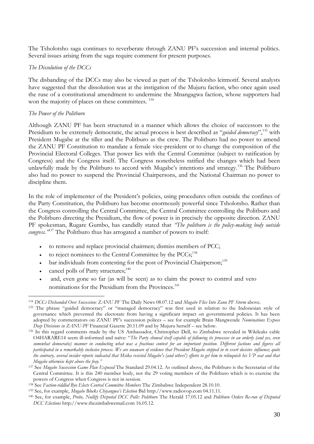The Tsholotsho saga continues to reverberate through ZANU PF's succession and internal politics. Several issues arising from the saga require comment for present purposes.

#### *The Dissolution of the DCCs*

The disbanding of the DCCs may also be viewed as part of the Tsholotsho leitmotif. Several analysts have suggested that the dissolution was at the instigation of the Mujuru faction, who once again used the ruse of a constitutional amendment to undermine the Mnangagwa faction, whose supporters had won the majority of places on these committees.<sup>134</sup>

## *The Power of the Politburo*

Although ZANU PF has been structured in a manner which allows the choice of successors to the Presidium to be extremely democratic, the actual process is best described as "*guided democracy*",<sup>135</sup> with President Mugabe at the tiller and the Politburo as the crew. The Politburo had no power to amend the ZANU PF Constitution to mandate a female vice-president or to change the composition of the Provincial Electoral Colleges. That power lies with the Central Committee (subject to ratification by Congress) and the Congress itself. The Congress nonetheless ratified the changes which had been unlawfully made by the Politburo to accord with Mugabe's intentions and strategy.<sup>136</sup> The Politburo also had no power to suspend the Provincial Chairpersons, and the National Chairman no power to discipline them.

In the role of implementer of the President's policies, using procedures often outside the confines of the Party Constitution, the Politburo has become enormously powerful since Tsholotsho. Rather than the Congress controlling the Central Committee, the Central Committee controlling the Politburo and the Politburo directing the Presidium, the flow of power is in precisely the opposite direction. ZANU PF spokesman, Rugare Gumbo, has candidly stated that *'The politburo is the policy-making body outside* congress.<sup>1437</sup> The Politburo thus has arrogated a number of powers to itself:

- to remove and replace provincial chairmen; dismiss members of PCC;
- to reject nominees to the Central Committee by the  $PCCs$ ;<sup>138</sup>
- $\bullet$  bar individuals from contesting for the post of Provincial Chairperson;<sup>139</sup>
- cancel polls of Party structures;<sup>140</sup>
- and, even gone so far (as will be seen) as to claim the power to control and veto nominations for the Presidium from the Provinces.<sup>141</sup>

<sup>&</sup>lt;u>.</u> <sup>134</sup> *DCCs Disbanded Over Succession: ZANU PF* The Daily News 08.07.12 and *Mugabe Flies Into Zanu PF Storm* above.

<sup>135</sup> The phrase "guided democracy" or "managed democracy" was first used in relation to the Indonesian style of governance which prevented the electorate from having a significant impact on governmental policies. It has been adopted by commentators on ZANU PF"s succession polices – see for example Brain Mangwende *Nominations Expose Deep Divisions in ZANU-PF* Financial Gazette 20.11.09 and by Mujuru herself – see below.

<sup>136</sup> In this regard comments made by the US Ambassador, Christopher Dell, to Zimbabwe revealed in Wikileaks cable O4HARARE14 seem ill-informed and naïve: "*The Party showed itself capable of following its processes in an orderly (and yes, even somewhat democratic) manner in conducting what was a fractious contest for an important position. Different factions and figures all participated in a remarkably inclusive process. We are unaware of evidence that President Mugabe stepped in to exert decisive influence; quite the contrary, several insider reports indicated that Msika resisted Mugabe's (and others') efforts to get him to relinquish his VP seat and that Mugabe otherwise kept above the fray.‖*

<sup>137</sup> See *Mugabe Succession Game Plan Exposed* The Standard 29.04.12. As outlined above, the Politburo is the Secretariat of the Central Committee. It is this 240 member body, not the 29 voting members of the Politburo which is to exercise the powers of Congress when Congress is not in session.

<sup>138</sup> See *Faction-riddled Byo Elects Central Committee Members* The Zimbabwe Independent 28.10.10.

<sup>139</sup> See, for example, *Mugabe Blocks Chiyangwa's Election* Bid http://www.radiovop.com 04.11.11.

<sup>140</sup> See, for example, *Probe, Nullify Disputed DCC Polls: Politburo* The Herald 17.05.12 and *Politburo Orders Re-run of Disputed DCC Elections* http://www.thezimbabwemail.com 16.05.12.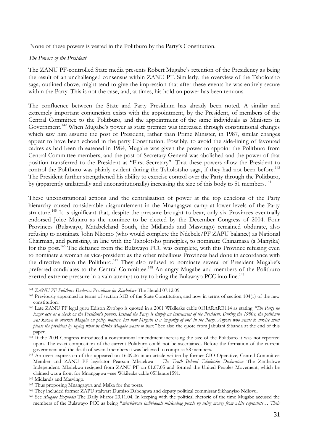None of these powers is vested in the Politburo by the Party"s Constitution.

## *The Powers of the President*

The ZANU PF-controlled State media presents Robert Mugabe"s retention of the Presidency as being the result of an unchallenged consensus within ZANU PF. Similarly, the overview of the Tsholotsho saga, outlined above, might tend to give the impression that after these events he was entirely secure within the Party. This is not the case, and, at times, his hold on power has been tenuous.

The confluence between the State and Party Presidium has already been noted. A similar and extremely important conjunction exists with the appointment, by the President, of members of the Central Committee to the Politburo, and the appointment of the same individuals as Ministers in Government.<sup>142</sup> When Mugabe's power as state premier was increased through constitutional changes which saw him assume the post of President, rather than Prime Minister, in 1987, similar changes appear to have been echoed in the party Constitution. Possibly, to avoid the side-lining of favoured cadres as had been threatened in 1984, Mugabe was given the power to appoint the Politburo from Central Committee members, and the post of Secretary-General was abolished and the power of that position transferred to the President as "First Secretary". That these powers allow the President to control the Politburo was plainly evident during the Tsholotsho saga, if they had not been before.<sup>143</sup> The President further strengthened his ability to exercise control over the Party through the Politburo, by (apparently unilaterally and unconstitutionally) increasing the size of this body to 51 members.<sup>144</sup>

These unconstitutional actions and the centralisation of power at the top echelons of the Party hierarchy caused considerable disgruntlement in the Mnangagwa camp at lower levels of the Party structure.<sup>145</sup> It is significant that, despite the pressure brought to bear, only six Provinces eventually endorsed Joice Mujuru as the nominee to be elected by the December Congress of 2004. Four Provinces (Bulawayo, Matabeleland South, the Midlands and Masvingo) remained obdurate, also refusing to nominate John Nkomo (who would complete the Ndebele/PF ZAPU balance) as National Chairman, and persisting, in line with the Tsholotsho principles, to nominate Chinamasa (a Manyika) for this post.<sup>146</sup> The defiance from the Bulawayo PCC was complete, with this Province refusing even to nominate a woman as vice-president as the other rebellious Provinces had done in accordance with the directive from the Politburo.<sup>147</sup> They also refused to nominate several of President Mugabe's preferred candidates to the Central Committee.<sup>148</sup> An angry Mugabe and members of the Politburo exerted extreme pressure in a vain attempt to try to bring the Bulawayo PCC into line.<sup>149</sup>

<sup>141</sup> *ZANU-PF Politburo Endorses Presidium for Zimbabwe* The Herald 07.12.09.

<sup>142</sup> Previously appointed in terms of section 31D of the State Constitution, and now in terms of section 104(1) of the new constitution.

<sup>&</sup>lt;sup>143</sup> Late ZANU PF legal guru Edison Zvobgo is quoted in a 2001 Wikileaks cable 01HARARE114 as stating *The Party no longer acts as a check on the President's powers. Instead the Party is simply an instrument of the President. During the 1980s, the politburo was known to overrule Mugabe on policy matters, but now Mugabe is a 'majority of one' in the Party. Anyone who wants to survive must please the president by saying what he thinks Mugabe wants to hear.‖* See also the quote from Jabulani Sibanda at the end of this paper.

 $144 \text{ If the } 2004 \text{ Congress introduced a constitutional amendment increasing the size of the Polituburo it was not reported.}$ upon. The exact composition of the current Politburo could not be ascertained. Before the formation of the current government and the death of several members it was believed to comprise 58 members.

<sup>145</sup> An overt expression of this appeared on 16.09.06 in an article written by former CIO Operative, Central Committee Member and ZANU PF legislator Pearson Mbalekwa – *The Truth Behind Tsholotsho Declaration* The Zimbabwe Independent. Mbalekwa resigned from ZANU PF on 01.07.05 and formed the United Peoples Movement, which he claimed was a front for Mnangagwa –see Wikileaks cable 05Harare1591.

<sup>146</sup> Midlands and Masvingo.

<sup>147</sup> Thus proposing Mnangagwa and Msika for the posts.

<sup>&</sup>lt;sup>148</sup> They included former ZAPU stalwart Dumiso Dabengwa and deputy political commissar Sikhanyiso Ndlovu.

<sup>149</sup> See *Mugabe Explodes* The Daily Mirror 23.11.04. In keeping with the political rhetoric of the time Mugabe accused the members of the Bulawayo PCC as being "*mischievous individuals misleading people by using money from white capitalists… Their*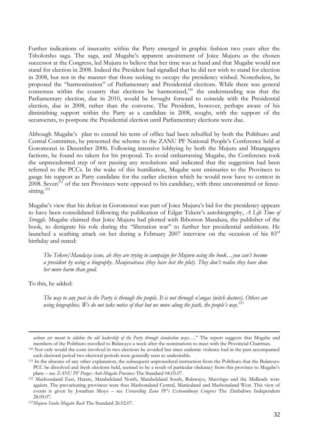Further indications of insecurity within the Party emerged in graphic fashion two years after the Tsholotsho saga. The saga, and Mugabe"s apparent anointment of Joice Mujuru as the chosen successor at the Congress, led Mujuru to believe that her time was at hand and that Mugabe would not stand for election in 2008. Indeed the President had signalled that he did not wish to stand for election in 2008, but not in the manner that those seeking to occupy the presidency wished. Nonetheless, he proposed the "harmonisation" of Parliamentary and Presidential elections. While there was general consensus within the country that elections be harmonised, $150$  the understanding was that the Parliamentary election, due in 2010, would be brought forward to coincide with the Presidential election, due in 2008, rather than the converse. The President, however, perhaps aware of his diminishing support within the Party as a candidate in 2008, sought, with the support of the securocrats, to postpone the Presidential election until Parliamentary elections were due.

Although Mugabe's plan to extend his term of office had been rebuffed by both the Politburo and Central Committee, he presented the scheme to the ZANU PF National People"s Conference held at Goromonzi in December 2006. Following intensive lobbying by both the Mujuru and Mnangagwa factions, he found no takers for his proposal. To avoid embarrassing Mugabe, the Conference took the unprecedented step of not passing any resolutions and indicated that the suggestion had been referred to the PCCs. In the wake of this humiliation, Mugabe sent emissaries to the Provinces to gauge his support as Party candidate for the earlier election which he would now have to contest in 2008. Seven<sup>151</sup> of the ten Provinces were opposed to his candidacy, with three uncommitted or fencesitting.<sup>152</sup>

Mugabe"s view that his defeat in Goromonzi was part of Joice Mujuru"s bid for the presidency appears to have been consolidated following the publication of Edgar Tekere"s autobiography, *A Life Time of Struggle.* Mugabe claimed that Joice Mujuru had plotted with Ibbotson Mandaza, the publisher of the book, to denigrate his role during the "liberation war" to further her presidential ambitions. He launched a scathing attack on her during a February 2007 interview on the occasion of his 83rd birthday and stated:

*The Tekere/Mandaza issue, ah they are trying to campaign for Mujuru using the book…you can't become a president by using a biography. Manjevairasa (they have lost the plot). They don't realise they have done her more harm than good.*

To this, he added:

1

*The way to any post in the Party is through the people. It is not through n'angas (witch doctors). Others are using biographies. We do not take notice of that but we move along the path, the people's way.*<sup>153</sup>

*actions are meant to sideline the old leadership of the Party through clandestine ways….*" The report suggests that Mugabe and members of the Politburo travelled to Bulawayo a week after the nominations to meet with the Provincial Chairman.

<sup>150</sup> Not only would the costs involved in two elections be avoided but since endemic violence had in the past accompanied each electoral period two electoral periods were generally seen as undesirable.

<sup>&</sup>lt;sup>151</sup> In the absence of any other explanation, the subsequent unprocedural instruction from the Politburo that the Bulawayo PCC be dissolved and fresh elections held, seemed to be a result of particular obduracy from this province to Mugabe's plans – see *ZANU PF Purges Anti-Mugabe Provinces* The Standard 04.03.07.

<sup>152</sup> Mashonaland East, Harare, Matabeleland North, Matabeleland South, Bulawayo, Masvingo and the Midlands were against. The prevaricating provinces were thus Mashonaland Central, Manicaland and Mashonaland West. This view of events is given by Jonathan Moyo – see *Unravelling Zanu PF's Extraordinary Congress* The Zimbabwe Independent 28.09.07.

<sup>153</sup>*Mujuru Snubs Mugabe Bash* The Standard 26.02.07.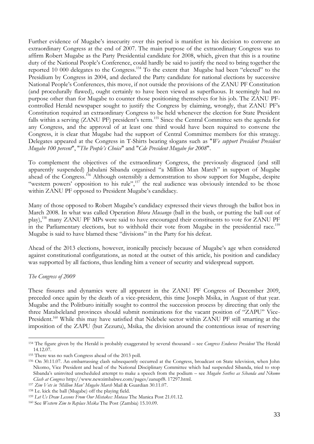Further evidence of Mugabe"s insecurity over this period is manifest in his decision to convene an extraordinary Congress at the end of 2007. The main purpose of the extraordinary Congress was to affirm Robert Mugabe as the Party Presidential candidate for 2008, which, given that this is a routine duty of the National People"s Conference, could hardly be said to justify the need to bring together the reported 10 000 delegates to the Congress.<sup>154</sup> To the extent that Mugabe had been "elected" to the Presidium by Congress in 2004, and declared the Party candidate for national elections by successive National People"s Conferences, this move, if not outside the provisions of the ZANU PF Constitution (and procedurally flawed), ought certainly to have been viewed as superfluous. It seemingly had no purpose other than for Mugabe to counter those positioning themselves for his job. The ZANU PFcontrolled Herald newspaper sought to justify the Congress by claiming, wrongly, that ZANU PF"s Constitution required an extraordinary Congress to be held whenever the election for State President falls within a serving (ZANU PF) president's term.<sup>155</sup> Since the Central Committee sets the agenda for any Congress, and the approval of at least one third would have been required to convene the Congress, it is clear that Mugabe had the support of Central Committee members for this strategy. Delegates appeared at the Congress in T-Shirts bearing slogans such as "*We support President President Mugabe 100 percent*", "*The People's Choice*" and "*Cde President Mugabe for 2008*".

To complement the objectives of the extraordinary Congress, the previously disgraced (and still apparently suspended) Jabulani Sibanda organised "a Million Man March" in support of Mugabe ahead of the Congress.<sup>156</sup> Although ostensibly a demonstration to show support for Mugabe, despite "western powers' opposition to his rule",<sup>157</sup> the real audience was obviously intended to be those within ZANU PF opposed to President Mugabe's candidacy.

Many of those opposed to Robert Mugabe"s candidacy expressed their views through the ballot box in March 2008. In what was called Operation *Bhora Musango* (ball in the bush, or putting the ball out of play),<sup>158</sup> many ZANU PF MPs were said to have encouraged their constituents to vote for ZANU PF in the Parliamentary elections, but to withhold their vote from Mugabe in the presidential race.<sup>159</sup> Mugabe is said to have blamed these "divisions" in the Party for his defeat.

Ahead of the 2013 elections, however, ironically precisely because of Mugabe"s age when considered against constitutional configurations, as noted at the outset of this article, his position and candidacy was supported by all factions, thus lending him a veneer of security and widespread support.

# *The Congress of 2009*

1

These fissures and dynamics were all apparent in the ZANU PF Congress of December 2009, preceded once again by the death of a vice-president, this time Joseph Msika, in August of that year. Mugabe and the Politburo initially sought to control the succession process by directing that only the three Matabeleland provinces should submit nominations for the vacant position of "ZAPU" Vice-President.<sup>160</sup> While this may have satisfied that Ndebele sector within ZANU PF still smarting at the imposition of the ZAPU (but Zezuru), Msika, the division around the contentious issue of reserving

<sup>154</sup> The figure given by the Herald is probably exaggerated by several thousand – see *Congress Endorses President* The Herald 14.12.07.

<sup>155</sup> There was no such Congress ahead of the 2013 poll.

<sup>156</sup> On 30.11.07. An embarrassing clash subsequently occurred at the Congress, broadcast on State television, when John Nkomo, Vice President and head of the National Disciplinary Committee which had suspended Sibanda, tried to stop Sibanda"s uninvited unscheduled attempt to make a speech from the podium – see *Mugabe Seethes as Sibanda and Nkomo Clash at Congress* http://www.newzimbabwe.com/pages/zanupf8. 17297.html.

<sup>157</sup> *Zim Vets in ‗Million Man' Mugabe March* Mail & Guardian 30.11.07.

<sup>158</sup> I.e. kick the ball (Mugabe) off the playing field.

<sup>159</sup> *Let Us Draw Lessons From Our Mistakes: Mutasa* The Manica Post 21.01.12.

<sup>160</sup> See *Western Zim to Replace Msika* The Post (Zambia) 15.10.09.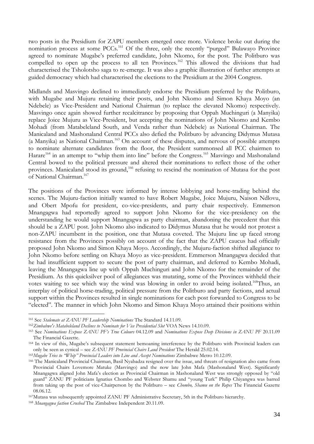two posts in the Presidium for ZAPU members emerged once more. Violence broke out during the nomination process at some PCCs.<sup>161</sup> Of the three, only the recently "purged" Bulawayo Province agreed to nominate Mugabe's preferred candidate, John Nkomo, for the post. The Politburo was compelled to open up the process to all ten Provinces.<sup>162</sup> This allowed the divisions that had characterised the Tsholotsho saga to re-emerge. It was also a graphic illustration of further attempts at guided democracy which had characterised the elections to the Presidium at the 2004 Congress.

Midlands and Masvingo declined to immediately endorse the Presidium preferred by the Politburo, with Mugabe and Mujuru retaining their posts, and John Nkomo and Simon Khaya Moyo (an Ndebele) as Vice-President and National Chairman (to replace the elevated Nkomo) respectively. Masvingo once again showed further recalcitrance by proposing that Oppah Muchinguri (a Manyika) replace Joice Mujuru as Vice-President, but accepting the nominations of John Nkomo and Kembo Mohadi (from Matabeleland South, and Venda rather than Ndebele) as National Chairman. The Manicaland and Mashonaland Central PCCs also defied the Politburo by advancing Didymus Mutasa (a Manyika) as National Chairman.<sup>163</sup> On account of these disputes, and nervous of possible attempts to nominate alternate candidates from the floor, the President summonsed all PCC chairmen to Harare<sup>164</sup> in an attempt to "whip them into line" before the Congress.<sup>165</sup> Masvingo and Mashonaland Central bowed to the political pressure and altered their nominations to reflect those of the other provinces. Manicaland stood its ground,<sup>166</sup> refusing to rescind the nomination of Mutasa for the post of National Chairman.<sup>167</sup>

The positions of the Provinces were informed by intense lobbying and horse-trading behind the scenes. The Mujuru-faction initially wanted to have Robert Mugabe, Joice Mujuru, Naison Ndlovu, and Obert Mpofu for president, co-vice-presidents, and party chair respectively. Emmerson Mnangagwa had reportedly agreed to support John Nkomo for the vice-presidency on the understanding he would support Mnangagwa as party chairman, abandoning the precedent that this should be a ZAPU post. John Nkomo also indicated to Didymus Mutasa that he would not protest a non-ZAPU incumbent in the position, one that Mutasa coveted. The Mujuru line up faced strong resistance from the Provinces possibly on account of the fact that the ZAPU caucus had officially proposed John Nkomo and Simon Khaya Moyo. Accordingly, the Mujuru-faction shifted allegiance to John Nkomo before settling on Khaya Moyo as vice-president. Emmerson Mnangagwa decided that he had insufficient support to secure the post of party chairman, and deferred to Kembo Mohadi, leaving the Mnangagwa line up with Oppah Muchinguri and John Nkomo for the remainder of the Presidium. As this quicksilver pool of allegiances was mutating, some of the Provinces withheld their votes waiting to see which way the wind was blowing in order to avoid being isolated.<sup>168</sup>Thus, an interplay of political horse-trading, political pressure from the Politburo and party factions, and actual support within the Provinces resulted in single nominations for each post forwarded to Congress to be "elected". The manner in which John Nkomo and Simon Khaya Moyo attained their positions within

<sup>161</sup> See *Stalemate at ZANU PF Leadership Nominations* The Standard 14.11.09.

<sup>162</sup>*Zimbabwe's Matabeleland Declines to Nominate for Vice Presidential Slot* VOA News 14.10.09.

<sup>163</sup> See *Nominations Expose ZANU PF's True Colours* 04.12.09 and *Nominations Expose Deep Divisions in ZANU PF* 20.11.09 The Financial Gazette.

<sup>164</sup> In view of this, Mugabe"s subsequent statement bemoaning interference by the Politburo with Provincial leaders can only be seen as cynical – see *ZANU PF Provincial Chairs Laud President* The Herald 25.02.14.

<sup>165</sup>*Mugabe Tries to "Whip" Provincial Leaders into Line and Accept Nominations Zimbabwe Metro 10.12.09.* 

<sup>166</sup> The Manicaland Provincial Chairman, Basil Nyabadza resigned over the issue, and threats of resignation also came from Provincial Chairs Lovemore Matuke (Masvingo) and the now late John Mafa (Mashonaland West). Significantly Mnangagwa aligned John Mafa"s election as Provincial Chairman in Mashonaland West was strongly opposed by "old guard" ZANU PF politicians Ignatius Chombo and Webster Shamu and "young Turk" Philip Chiyangwa was barred from taking up the post of vice-Chairperson by the Politburo – see *Chombo, Shamu on the Ropes* The Financial Gazette 08.06.12.

<sup>167</sup>Mutasa was subsequently appointed ZANU PF Administrative Secretary, 5th in the Politburo hierarchy.

<sup>168</sup> *Mnangagwa faction Crushed* The Zimbabwe Independent 20.11.09.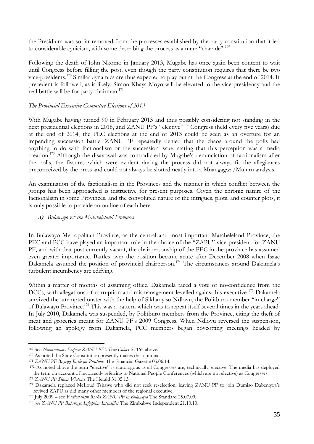the Presidium was so far removed from the processes established by the party constitution that it led to considerable cynicism, with some describing the process as a mere "charade".<sup>169</sup>

Following the death of John Nkomo in January 2013, Mugabe has once again been content to wait until Congress before filling the post, even though the party constitution requires that there be two vice-presidents.<sup>170</sup> Similar dynamics are thus expected to play out at the Congress at the end of 2014. If precedent is followed, as is likely, Simon Khaya Moyo will be elevated to the vice-presidency and the real battle will be for party chairman.<sup>171</sup>

## *The Provincial Executive Committee Elections of 2013*

With Mugabe having turned 90 in February 2013 and thus possibly considering not standing in the next presidential elections in 2018, and ZANU PF's "elective"<sup>172</sup> Congress (held every five years) due at the end of 2014, the PEC elections at the end of 2013 could be seen as an overture for an impending succession battle. ZANU PF repeatedly denied that the chaos around the polls had anything to do with factionalism or the succession issue, stating that this perception was a media creation.<sup>173</sup> Although the disavowal was contradicted by Mugabe"s denunciation of factionalism after the polls, the fissures which were evident during the process did not always fit the allegiances preconceived by the press and could not always be slotted neatly into a Mnangagwa/Mujuru analysis.

An examination of the factionalism in the Provinces and the manner in which conflict between the groups has been approached is instructive for present purposes. Given the chronic nature of the factionalism in some Provinces, and the convoluted nature of the intrigues, plots, and counter plots, it is only possible to provide an outline of each here.

## **a)** *Bulawayo & the Matabeleland Provinces*

In Bulawayo Metropolitan Province, as the central and most important Matabeleland Province, the PEC and PCC have played an important role in the choice of the "ZAPU" vice-president for ZANU PF, and with that post currently vacant, the chairpersonship of the PEC in the province has assumed even greater importance. Battles over the position became acute after December 2008 when Isaac Dakamela assumed the position of provincial chairperson.<sup>174</sup> The circumstances around Dakamela's turbulent incumbency are edifying.

Within a matter of months of assuming office, Dakamela faced a vote of no-confidence from the DCCs, with allegations of corruption and mismanagement levelled against his executive.<sup>175</sup> Dakamela survived the attempted ouster with the help of Sikhanyiso Ndlovu, the Politburo member "in charge" of Bulawayo Province.<sup>176</sup> This was a pattern which was to repeat itself several times in the years ahead. In July 2010, Dakamela was suspended, by Politburo members from the Province, citing the theft of meat and groceries meant for ZANU PF"s 2009 Congress. When Ndlovu reversed the suspension, following an apology from Dakamela, PCC members began boycotting meetings headed by

<sup>169</sup> See *Nominations Expose ZANU PF's True Colors* fn 165 above.

<sup>170</sup> As noted the State Constitution presently makes this optional.

<sup>171</sup> *ZANU PF Bigwigs Jostle for Positions* The Financial Gazette 05.06.14.

<sup>&</sup>lt;sup>172</sup> As noted above the term "elective" is tautologous as all Congresses are, technically, elective. The media has deployed the term on account of incorrectly referring to National People Conferences (which are not elective) as Congresses.

<sup>173</sup> *ZANU PF Slams Violence* The Herald 31.05.13.

<sup>&</sup>lt;sup>174</sup> Dakamela replaced McLoud Tshawe who did not seek re-election, leaving ZANU PF to join Dumiso Dabengwa's revived ZAPU as did many other members of the regional executive.

<sup>175</sup> July 2009 – see *Factionalism Rocks ZANU PF in Bulawayo* The Standard 25.07.09.

<sup>176</sup> *See ZANU PF Bulawayo Infighting Intensifies* The Zimbabwe Independent 21.10.10.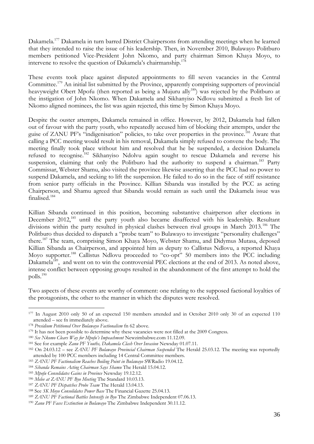Dakamela.<sup>177</sup> Dakamela in turn barred District Chairpersons from attending meetings when he learned that they intended to raise the issue of his leadership. Then, in November 2010, Bulawayo Politburo members petitioned Vice-President John Nkomo, and party chairman Simon Khaya Moyo, to intervene to resolve the question of Dakamela's chairmanship.<sup>178</sup>

These events took place against disputed appointments to fill seven vacancies in the Central Committee.<sup>179</sup> An initial list submitted by the Province, apparently comprising supporters of provincial heavyweight Obert Mpofu (then reported as being a Mujuru ally<sup>180</sup>) was rejected by the Politburo at the instigation of John Nkomo. When Dakamela and Sikhanyiso Ndlovu submitted a fresh list of Nkomo aligned nominees, the list was again rejected, this time by Simon Khaya Moyo.

Despite the ouster attempts, Dakamela remained in office. However, by 2012, Dakamela had fallen out of favour with the party youth, who repeatedly accused him of blocking their attempts, under the guise of ZANU PF's "indigenisation" policies, to take over properties in the province.<sup>181</sup> Aware that calling a PCC meeting would result in his removal, Dakamela simply refused to convene the body. The meeting finally took place without him and resolved that he be suspended, a decision Dakamela refused to recognise.<sup>182</sup> Sikhanyiso Ndolvu again sought to rescue Dakamela and reverse his suspension, claiming that only the Politburo had the authority to suspend a chairman.<sup>183</sup> Party Commissar, Webster Shamu, also visited the province likewise asserting that the PCC had no power to suspend Dakamela, and seeking to lift the suspension. He failed to do so in the face of stiff resistance from senior party officials in the Province. Killian Sibanda was installed by the PCC as acting Chairperson, and Shamu agreed that Sibanda would remain as such until the Dakamela issue was finalised.<sup>184</sup>

Killian Sibanda continued in this position, becoming substantive chairperson after elections in December 2012,<sup>185</sup> until the party youth also became disaffected with his leadership. Resultant divisions within the party resulted in physical clashes between rival groups in March 2013.<sup>186</sup> The Politburo thus decided to dispatch a "probe team" to Bulawayo to investigate "personality challenges" there.<sup>187</sup> The team, comprising Simon Khaya Moyo, Webster Shamu, and Didymus Mutasa, deposed Killian Sibanda as Chairperson, and appointed him as deputy to Callistus Ndlovu, a reported Khaya Moyo supporter.<sup>188</sup> Callistus Ndlovu proceeded to "co-opt" 50 members into the PCC including Dakamela<sup>189</sup>, and went on to win the controversial PEC elections at the end of 2013. As noted above, intense conflict between opposing groups resulted in the abandonment of the first attempt to hold the polls.<sup>190</sup>

Two aspects of these events are worthy of comment: one relating to the supposed factional loyalties of the protagonists, the other to the manner in which the disputes were resolved.

<sup>177</sup> In August 2010 only 50 of an expected 150 members attended and in October 2010 only 30 of an expected 110 attended – see fn immediately above.

<sup>178</sup> *Presidium Petitioned Over Bulawayo Factionalism* fn 62 above.

<sup>&</sup>lt;sup>179</sup> It has not been possible to determine why these vacancies were not filled at the 2009 Congress.

<sup>180</sup> *See Nkomo Clears Way for Mpofu's Impeachment* Newzimbabwe.com 11.12.09.

<sup>181</sup> See for example *Zanu PF Youths, Dakamela Clash Over Invasion* Newsday 01.07.11.

<sup>182</sup> On 24.03.12 – see *ZANU PF Bulawayo Provincial Chairman Suspended* The Herald 25.03.12. The meeting was reportedly attended by 100 PCC members including 14 Central Committee members.

<sup>183</sup> *ZANU PF Factionalism Reaches Boiling Point in Bulawayo* SWRadio 19.04.12.

<sup>184</sup> *Sibanda Remains Acting Chairman Says Shamu* The Herald 15.04.12.

<sup>185</sup> *Mpofu Consolidates Gains in Province* Newsday 19.12.12.

<sup>186</sup> *Melee at ZANU PF Byo Meeting* The Standard 10.03.13.

<sup>187</sup> *ZANU PF Dispatches Probe Team* The Herald 13.04.13.

<sup>188</sup> See *SK Moyo Consolidates Power Base* The Financial Gazette 25.04.13.

<sup>189</sup> *ZANU PF Factional Battles Intensify in Byo* The Zimbabwe Independent 07.06.13.

<sup>190</sup> *Zanu PF Faces Extinction in Bulawayo* The Zimbabwe Independent 30.11.12.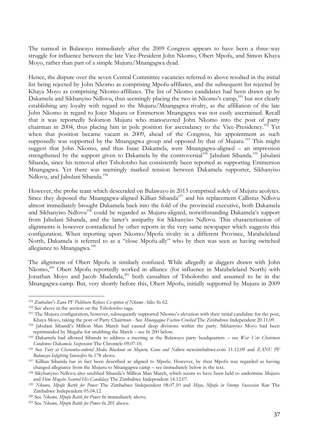The turmoil in Bulawayo immediately after the 2009 Congress appears to have been a three-way struggle for influence between the late Vice-President John Nkomo, Obert Mpofu, and Simon Khaya Moyo, rather than part of a simple Mujuru/Mnangagwa dyad.

Hence, the dispute over the seven Central Committee vacancies referred to above resulted in the initial list being rejected by John Nkomo as comprising Mpofu-affiliates, and the subsequent list rejected by Khaya Moyo as comprising Nkomo-affiliates. The list of Nkomo candidates had been drawn up by Dakamela and Sikhanyiso Ndlovu, thus seemingly placing the two in Nkomo's camp,<sup>191</sup> but not clearly establishing any loyalty with regard to the Mujuru/Mnangagwa rivalry, as the affiliation of the late John Nkomo in regard to Joice Mujuru or Emmerson Mnangagwa was not easily ascertained. Recall that it was reportedly Solomon Mujuru who manoeuvred John Nkomo into the post of party chairman in 2004, thus placing him in pole position for ascendancy to the Vice-Presidency.<sup>192</sup> Yet when that position became vacant in 2009, ahead of the Congress, his appointment as such supposedly was supported by the Mnangagwa group and opposed by that of Mujuru.<sup>193</sup> This might suggest that John Nkomo, and thus Isaac Dakamela, were Mnangagwa-aligned – an impression strengthened by the support given to Dakamela by the controversial<sup>194</sup> Jabulani Sibanda.<sup>195</sup> Jabulani Sibanda, since his removal after Tsholotsho has consistently been reported as supporting Emmerson Mnangagwa. Yet there was seemingly marked tension between Dakamela supporter, Sikhanyiso Ndlovu, and Jabulani Sibanda.<sup>196</sup>

However, the probe team which descended on Bulawayo in 2013 comprised solely of Mujuru acolytes. Since they deposed the Mnangagwa-aligned Killian Sibanda<sup>197</sup> and his replacement Callistus Ndlovu almost immediately brought Dakamela back into the fold of the provincial executive, both Dakamela and Sikhanyiso Ndlovu<sup>198</sup> could be regarded as Mujuru-aligned, notwithstanding Dakamela's support from Jabulani Sibanda, and the latter's antipathy for Sikhanyiso Ndlovu. This characterisation of alignments is however contradicted by other reports in the very same newspaper which suggests this configuration. When reporting upon Nkomo/Mpofu rivalry in a different Province, Matabeleland North, Dakamela is referred to as a "close Mpofu-ally" who by then was seen as having switched allegiance to Mnangagwa.<sup>199</sup>

The alignment of Obert Mpofu is similarly confused. While allegedly at daggers drawn with John Nkomo,<sup>200</sup> Obert Mpofu reportedly worked in alliance (for influence in Matabeleland North) with Jonathan Moyo and Jacob Mudenda,<sup>201</sup> both casualties of Tsholotsho and assumed to be in the Mnangagwa-camp. But, very shortly before this, Obert Mpofu, initially supported by Mujuru in 2009

<sup>191</sup> *Zimbabwe's Zanu PF Politburo Refuses Co-option of Nkomo Allies* fn 62.

<sup>192</sup> See above in the section on the Tsholotsho saga.

<sup>&</sup>lt;sup>193</sup> The Mujuru configuration, however, subsequently supported Nkomo's elevation with their initial candidate for the post, Khaya Moyo, taking the post of Party Chairman - See *Mnangagwa Faction Crushed* The Zimbabwe Independent 20.11.09.

<sup>194</sup> Jabulani Sibandi"s Million Man March had caused deep divisions within the party. Sikhanyiso Moyo had been reprimanded by Mugabe for snubbing the March – see fn 200 below.

<sup>195</sup> Dakamela had allowed Sibanda to address a meeting at the Bulawayo party headquarters – see *War Vets Chairman Condemns Dakamela Suspension* The Chronicle 09.07.10.

<sup>196</sup> See *Fury at Charamba-ordered Media Blackout on Mujuru, Gono and Ndlovu* newzimbabwe.com 11.12.09 and *ZANU PF Bulawayo Infighting Intensifies* fn 178 above.

<sup>197</sup> Killian Sibanda has in fact been described as aligned to Mpofu. However, by then Mpofu was regarded as having changed allegiance from the Mujuru to Mnangagwa camp – see immediately below in the text.

<sup>198</sup> Sikyhanyiso Ndlovu also snubbed Sibanda"s Million Man March, which seems to have been held to undermine Mujuru and *How Mugabe Secured His Candidacy* The Zimbabwe Independent 14.12.07.

<sup>199</sup> *Nkomo, Mpofu Battle for Power* The Zimbabwe Independent 08.07.10 and *Moyo, Mpofu in Stormy Succession Row* The Zimbabwe Independent 05.04.12.

<sup>200</sup> See *Nkomo, Mpofu Battle for Power* fn immediately above.

<sup>201</sup> See *Nkomo, Mpofu Battle for Power* fn 201 above.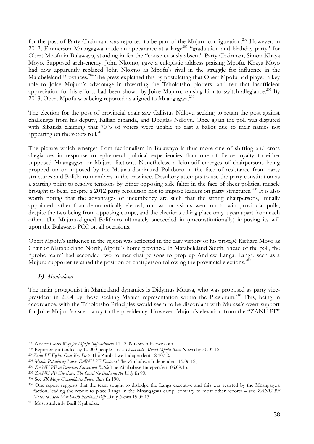for the post of Party Chairman, was reported to be part of the Mujuru-configuration.<sup>202</sup> However, in 2012, Emmerson Mnangagwa made an appearance at a large<sup>203</sup> "graduation and birthday party" for Obert Mpofu in Bulawayo, standing in for the "conspicuously absent" Party Chairman, Simon Khaya Moyo. Supposed arch-enemy, John Nkomo, gave a eulogistic address praising Mpofu. Khaya Moyo had now apparently replaced John Nkomo as Mpofu"s rival in the struggle for influence in the Matabeleland Provinces.<sup>204</sup> The press explained this by postulating that Obert Mpofu had played a key role to Joice Mujuru"s advantage in thwarting the Tsholotsho plotters, and felt that insufficient appreciation for his efforts had been shown by Joice Mujuru, causing him to switch allegiance.<sup>205</sup> By 2013, Obert Mpofu was being reported as aligned to Mnangagwa.<sup>206</sup>

The election for the post of provincial chair saw Callistus Ndlovu seeking to retain the post against challenges from his deputy, Killian Sibanda, and Douglas Ndlovu. Once again the poll was disputed with Sibanda claiming that 70% of voters were unable to cast a ballot due to their names not appearing on the voters roll. $207$ 

The picture which emerges from factionalism in Bulawayo is thus more one of shifting and cross allegiances in response to ephemeral political expediencies than one of fierce loyalty to either supposed Mnangagwa or Mujuru factions. Nonetheless, a leitmotif emerges of chairpersons being propped up or imposed by the Mujuru-dominated Politburo in the face of resistance from party structures and Politburo members in the province. Desultory attempts to use the party constitution as a starting point to resolve tensions by either opposing side falter in the face of sheer political muscle brought to bear, despite a 2012 party resolution not to impose leaders on party structures.<sup>208</sup> It is also worth noting that the advantages of incumbency are such that the sitting chairpersons, initially appointed rather than democratically elected, on two occasions went on to win provincial polls, despite the two being from opposing camps, and the elections taking place only a year apart from each other. The Mujuru-aligned Politburo ultimately succeeded in (unconstitutionally) imposing its will upon the Bulawayo PCC on all occasions.

Obert Mpofu"s influence in the region was reflected in the easy victory of his protégé Richard Moyo as Chair of Matabeleland North, Mpofu"s home province. In Matabeleland South, ahead of the poll, the "probe team" had seconded two former chairpersons to prop up Andrew Langa. Langa, seen as a Mujuru supporter retained the position of chairperson following the provincial elections.<sup>209</sup>

# **b)** *Manicaland*

1

The main protagonist in Manicaland dynamics is Didymus Mutasa, who was proposed as party vicepresident in 2004 by those seeking Manica representation within the Presidium.<sup>210</sup> This, being in accordance, with the Tsholotsho Principles would seem to be discordant with Mutasa"s overt support for Joice Mujuru"s ascendancy to the presidency. However, Mujuru"s elevation from the "ZANU PF"

<sup>202</sup> *Nkomo Clears Way for Mpofu Impeachment* 11.12.09 newzimbabwe.com.

<sup>203</sup> Reportedly attended by 10 000 people – see *Thousands Attend Mpofu Bash* Newsday 30.01.12,

<sup>204</sup>*Zanu PF Fights Over Key Posts* The Zimbabwe Independent 12.10.12.

<sup>205</sup> *Mpofu Popularity Lures ZANU PF Factions* The Zimbabwe Independent 15.06.12,

<sup>206</sup> *ZANU PF in Renewed Succession Battle* The Zimbabwe Independent 06.09.13.

<sup>207</sup> *ZANU PF Elections: The Good the Bad and the Ugly* fn 90.

<sup>208</sup> See *SK Moyo Consolidates Power Base* fn 190.

<sup>&</sup>lt;sup>209</sup> One report suggests that the team sought to dislodge the Langa executive and this was resisted by the Mnangagwa faction, leading the report to place Langa in the Mnangagwa camp, contrary to most other reports – see *ZANU PF Moves to Heal Mat South Factional Rift* Daily News 15.06.13.

<sup>210</sup> Most stridently Basil Nyabadza.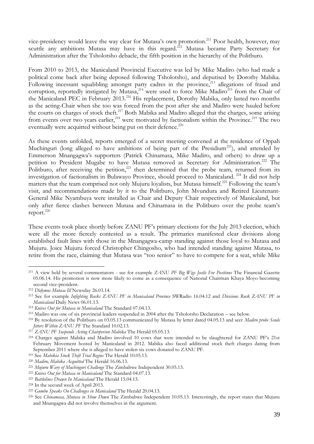vice-presidency would leave the way clear for Mutasa's own promotion.<sup>211</sup> Poor health, however, may scuttle any ambitions Mutasa may have in this regard.<sup>212</sup> Mutasa became Party Secretary for Administration after the Tsholotsho debacle, the fifth position in the hierarchy of the Politburo.

From 2010 to 2013, the Manicaland Provincial Executive was led by Mike Madiro (who had made a political come back after being deposed following Tsholotsho), and deputised by Dorothy Mabika. Following incessant squabbling amongst party cadres in the province,<sup>213</sup> allegations of fraud and corruption, reportedly instigated by Mutasa,<sup>214</sup> were used to force Mike Madiro<sup>215</sup> from the Chair of the Manicaland PEC in February 2013.<sup>216</sup> His replacement, Dorothy Mabika, only lasted two months as the acting-Chair when she too was forced from the post after she and Madiro were hauled before the courts on charges of stock theft.<sup>217</sup> Both Mabika and Madiro alleged that the charges, some arising from events over two years earlier,<sup>218</sup> were motivated by factionalism within the Province.<sup>219</sup> The two eventually were acquitted without being put on their defence. $^{220}$ 

As these events unfolded, reports emerged of a secret meeting convened at the residence of Oppah Muchinguri (long alleged to have ambitions of being part of the Presidium<sup>221</sup>), and attended by Emmerson Mnangagwa"s supporters (Patrick Chinamasa, Mike Madiro, and others) to draw up a petition to President Mugabe to have Mutasa removed as Secretary for Administration.<sup>222</sup> The Politburo, after receiving the petition, $223$  then determined that the probe team, returned from its investigation of factionalism in Bulawayo Province, should proceed to Manicaland. <sup>224</sup> It did not help matters that the team comprised not only Mujuru loyalists, but Mutasa himself.<sup>225</sup> Following the team's visit, and recommendations made by it to the Politburo, John Mvundura and Retired Lieutenant-General Mike Nyambuya were installed as Chair and Deputy Chair respectively of Manicaland, but only after fierce clashes between Mutasa and Chinamasa in the Politburo over the probe team"s report.<sup>226</sup>

These events took place shortly before ZANU PF"s primary elections for the July 2013 election, which were all the more fiercely contested as a result. The primaries manifested clear divisions along established fault lines with those in the Mnangagwa-camp standing against those loyal to Mutasa and Mujuru. Joice Mujuru forced Christopher Chingosho, who had intended standing against Mutasa, to retire from the race, claiming that Mutasa was "too senior" to have to compete for a seat, while Mike

<sup>211</sup> A view held by several commentators - see for example *ZANU PF Big Wigs Jostle For Positions* The Financial Gazette 05.06.14. His promotion is now more likely to come as a consequence of National Chairman Khaya Moyo becoming second vice-president.

<sup>212</sup> *Didymus Mutasa Ill* Newsday 26.03.14.

<sup>213</sup> See for example *Infighting Rocks ZANU PF in Manicaland Province* SWRadio 16.04.12 and *Divisions Rock ZANU PF in Manicaland* Daily News 06.01.13.

<sup>214</sup> *Knives Out for Mutasa in Manicaland* The Standard 07.04.13.

<sup>215</sup> Madiro was one of six provincial leaders suspended in 2004 after the Tsholotsho Declaration – see below.

<sup>216</sup> By resolution of the Politburo on 03.05.13 communicated by Mutasa by letter dated 04.05.13 and seer *Madiro probe Sends Jitters Within ZANU PF* The Standard 10.02.13.

<sup>217</sup> *ZANU PF Suspends Acting Chairperson Mabika* The Herald 05.05.13.

<sup>218</sup> Charges against Mabika and Madiro involved 10 cows that were intended to be slaughtered for ZANU PF"s 21st February Movement hosted by Manicaland in 2012. Mabika also faced additional stock theft charges dating from September 2011 where she is alleged to have stolen six cows donated to ZANU PF.

<sup>219</sup> See *Mabikia Stock Theft Trial Begins* The Herald 10.05.13.

<sup>220</sup> *Madiro, Mabika Acquitted* The Herald 16.06.13.

<sup>221</sup> *Mujuru Wary of Muchinguri Challenge* The Zimbabwe Independent 30.05.13.

<sup>222</sup> *Knives Out for Mutasa in Manicaland* The Standard 04.07.13.

<sup>223</sup> *Battlelines Drawn In Manicaland* The Herald 15.04.13.

<sup>224</sup> In the second week of April 2013.

<sup>225</sup> *Gumbo Speaks On Challenges in Manicaland* The Herald 20.04.13.

<sup>226</sup> See *Chinamasa, Mutasa in Show Down* The Zimbabwe Independent 10.05.13. Interestingly, the report states that Mujuru and Mnangagwa did not involve themselves in the argument.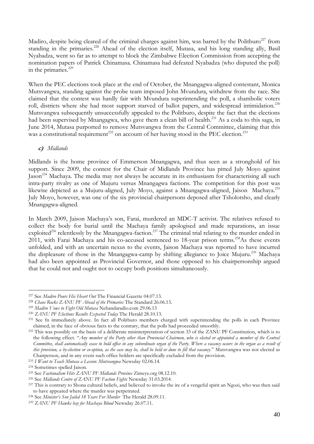Madiro, despite being cleared of the criminal charges against him, was barred by the Politburo<sup>227</sup> from standing in the primaries.<sup>228</sup> Ahead of the election itself, Mutasa, and his long standing ally, Basil Nyabadza, went so far as to attempt to block the Zimbabwe Election Commission from accepting the nomination papers of Patrick Chinamasa. Chinamasa had defeated Nyabadza (who disputed the poll) in the primaries.<sup>229</sup>

When the PEC elections took place at the end of October, the Mnangagwa-aligned contestant, Monica Mutsvangwa, standing against the probe team imposed John Mvundura, withdrew from the race. She claimed that the contest was hardly fair with Mvundura superintending the poll, a shambolic voters roll, districts where she had most support starved of ballot papers, and widespread intimidation.<sup>230</sup> Mutsvangwa subsequently unsuccessfully appealed to the Politburo, despite the fact that the elections had been supervised by Mnangagwa, who gave them a clean bill of health.<sup>231</sup> As a coda to this saga, in June 2014, Mutasa purported to remove Mutsvangwa from the Central Committee, claiming that this was a constitutional requirement<sup>232</sup> on account of her having stood in the PEC election.<sup>233</sup>

## **c)** *Midlands*

Midlands is the home province of Emmerson Mnangagwa, and thus seen as a stronghold of his support. Since 2009, the contest for the Chair of Midlands Province has pitted July Moyo against Jason<sup>234</sup> Machaya. The media may not always be accurate in its enthusiasm for characterising all such intra-party rivalry as one of Mujuru versus Mnangagwa factions. The competition for this post was likewise depicted as a Mujuru-aligned, July Moyo, against a Mnangagwa-aligned, Jaison Machaya.<sup>235</sup> July Moyo, however, was one of the six provincial chairpersons deposed after Tsholotsho, and clearly Mnangagwa-aligned.

In March 2009, Jaison Machaya"s son, Farai, murdered an MDC-T activist. The relatives refused to collect the body for burial until the Machaya family apologised and made reparations, an issue exploited<sup>236</sup> relentlessly by the Mnangagwa-faction.<sup>237</sup> The criminal trial relating to the murder ended in 2011, with Farai Machaya and his co-accused sentenced to 18-year prison terms.<sup>238</sup>As these events unfolded, and with an uncertain nexus to the events, Jaison Machaya was reported to have incurred the displeasure of those in the Mnangagwa-camp by shifting allegiance to Joice Mujuru.<sup>239</sup> Machaya had also been appointed as Provincial Governor, and those opposed to his chairpersonship argued that he could not and ought not to occupy both positions simultaneously.

<sup>227</sup> See *Madiro Pours His Heart Out* The Financial Gazette 04.07.13.

<sup>228</sup> *Chaos Rocks ZANU PF Ahead of the Primaries* The Standard 26.06.13.

<sup>229</sup> *Madiro Vows to Fight Old Mutasa* Nehandaradio.com 29.06.13

<sup>230</sup> *ZANU PF Elections Results Expected Today* The Herald 28.10.13.

<sup>&</sup>lt;sup>231</sup> See fn immediately above. In fact all Politburo members charged with superintending the polls in each Province claimed, in the face of obvious facts to the contrary, that the polls had proceeded smoothly.

<sup>&</sup>lt;sup>232</sup> This was possibly on the basis of a deliberate misinterpretation of section 33 of the ZANU PF Constitution, which is to the following effect. "*Any member of the Party other than Provincial Chairmen, who is elected or appointed a member of the Central Committee, shall automatically cease to hold office in any subordinate organ of the Party. Where a vacancy occurs in the organ as a result of this provision, a by-election or co-option, as the case may be, shall be held or done to fill that vacancy*." Mutsvangwa was not elected as Chairperson, and in any event such office holders are specifically excluded from the provision.

<sup>233</sup> *I Want to Teach Mutasa a Lesson: Mutsvangwa* Newsday 02.06.14.

<sup>234</sup> Sometimes spelled Jaison.

<sup>235</sup> See *Factionalism Hits ZANU PF Midlands Province* Zimeye.org 08.12.10.

<sup>236</sup> See *Midlands Centre of ZANU PF Faction Fights* Newsday 31.03.2014.

<sup>&</sup>lt;sup>237</sup> This is contrary to Shona cultural beliefs, and believed to invoke the ire of a vengeful spirit an Ngozi, who was then said to have appeared where the murder was perpetrated.

<sup>238</sup> See *Minister's Son Jailed 18 Years For Murder* The Herald 28.09.11.

<sup>239</sup> *ZANU PF Hawks bay for Machaya Blood* Newsday 26.07.11.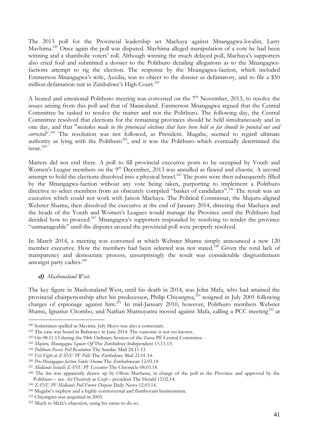The 2013 poll for the Provincial leadership set Machaya against Mnangagwa-loyalist, Larry Mavhima.<sup>240</sup> Once again the poll was disputed. Mavhima alleged manipulation of a vote he had been winning and a shambolic voters' roll. Although winning the much delayed poll, Machaya's supporters also cried foul and submitted a dossier to the Politburo detailing allegations as to the Mnangagwafactions attempt to rig the election. The response by the Mnangagwa-faction, which included Emmerson Mnangagwa's wife, Auxilia, was to object to the dossier as defamatory, and to file a \$50 million defamation suit in Zimbabwe's High Court.<sup>241</sup>

A heated and emotional Politburo meeting was convened on the  $7<sup>th</sup>$  November, 2013, to resolve the issues arising from this poll and that of Manicaland. Emmerson Mnangagwa argued that the Central Committee be tasked to resolve the matter and not the Politburo. The following day, the Central Committee resolved that elections for the remaining provinces should be held simultaneously and in one day, and that "*mistakes made in the provincial elections that have been held so far should be pointed out and*  corrected".<sup>242</sup> The resolution was not followed, as President. Mugabe, seemed to regard ultimate authority as lying with the Politburo<sup>243</sup>, and it was the Politburo which eventually determined the issue. 244

Matters did not end there. A poll to fill provincial executive posts to be occupied by Youth and Women's League members on the 9<sup>th</sup> December, 2013 was annulled as flawed and chaotic. A second attempt to hold the elections dissolved into a physical brawl.<sup>245</sup> The posts were then subsequently filled by the Mnangagwa-faction without any vote being taken, purporting to implement a Politburo directive to select members from an obscurely compiled "basket of candidates".<sup>246</sup> The result was an executive which could not work with Jaison Machaya. The Political Commissar, the Mujuru-aligned Webster Shamu, then dissolved the executive at the end of January 2014, directing that Machaya and the heads of the Youth and Women"s Leagues would manage the Province until the Politburo had decided how to proceed.<sup>247</sup> Mnangagwa's supporters responded by resolving to render the province "unmanageable" until the disputes around the provincial poll were properly resolved.

In March 2014, a meeting was convened at which Webster Shamu simply announced a new 120 member executive. How the members had been selected was not stated.<sup>248</sup> Given the total lack of transparency and democratic process, unsurprisingly the result was considerable disgruntlement amongst party cadres.<sup>249</sup>

#### **d)** *Mashonaland West.*

<u>.</u>

The key figure in Mashonaland West, until his death in 2014, was John Mafa, who had attained the provincial chairpersonship after his predecessor, Philip Chiyangwa,<sup>250</sup> resigned in July 2005 following charges of espionage against him.<sup>251</sup> In mid-January 2010, however, Politburo members Webster Shamu, Ignatius Chombo, and Nathan Shamuyarira moved against Mafa, calling a PCC meeting<sup>252</sup> at

<sup>240</sup> Sometimes spelled as Mavima. July Moyo was also a contestant.

<sup>241</sup> The case was heard in Bulawayo in June 2014. The outcome is not yet known.

<sup>242</sup> On 08.11.13 during the 94th Ordinary Session of the Zanu-PF Central Committee .

<sup>243</sup> *Mujuru, Mnangagwa Square Off* The Zimbabwe Independent 15.11.13.

<sup>244</sup> *Politburo Passes Poll Resolution* The Sunday Mail 24.11.13.

<sup>245</sup> *Fist Fight at ZANU PF Polls* The Zimbabwe Mail 21.01.14.

<sup>246</sup> *Pro-Mnangagwa faction Snubs Shamu* The Zimbabwean 12.03.14

<sup>247</sup> *Midlands Installs ZANU PF Executive* The Chronicle 08.03.14.

<sup>&</sup>lt;sup>248</sup> The list was apparently drawn up by Olivia Muchena, in charge of the poll in the Province and approved by the Politburo – see *Act Decisively on Graft* – president The Herald 15.02.14.

<sup>249</sup> *ZANU PF Midlands Poll Furore Deepens* Daily News 12.03.14.

<sup>&</sup>lt;sup>250</sup> Mugabe's nephew and a highly controversial and flamboyant businessman.

<sup>251</sup> Chiyangwa was acquitted in 2005.

<sup>252</sup> Much to Mafa"s objection, using his name to do so.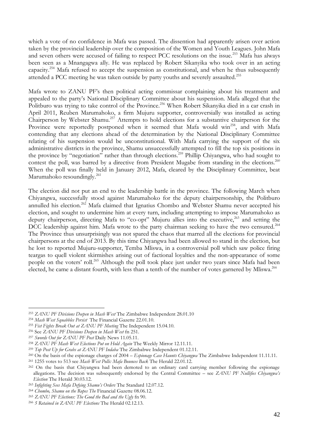which a vote of no confidence in Mafa was passed. The dissention had apparently arisen over action taken by the provincial leadership over the composition of the Women and Youth Leagues. John Mafa and seven others were accused of failing to respect PCC resolutions on the issue.<sup>253</sup> Mafa has always been seen as a Mnangagwa ally. He was replaced by Robert Sikanyika who took over in an acting capacity.<sup>254</sup> Mafa refused to accept the suspension as constitutional, and when he thus subsequently attended a PCC meeting he was taken outside by party youths and severely assaulted.<sup>255</sup>

Mafa wrote to ZANU PF"s then political acting commissar complaining about his treatment and appealed to the party"s National Disciplinary Committee about his suspension. Mafa alleged that the Politburo was trying to take control of the Province.<sup>256</sup> When Robert Sikanyika died in a car crash in April 2011, Reuben Marumahoko, a firm Mujuru supporter, controversially was installed as acting Chairperson by Webster Shamu.<sup>257</sup> Attempts to hold elections for a substantive chairperson for the Province were reportedly postponed when it seemed that Mafa would win<sup>258</sup>, and with Mafa contending that any elections ahead of the determination by the National Disciplinary Committee relating of his suspension would be unconstitutional. With Mafa carrying the support of the six administrative districts in the province, Shamu unsuccessfully attempted to fill the top six positions in the province by "negotiation" rather than through elections.<sup>259</sup> Phillip Chiyangwa, who had sought to contest the poll, was barred by a directive from President Mugabe from standing in the elections.<sup>260</sup> When the poll was finally held in January 2012, Mafa, cleared by the Disciplinary Committee, beat Marumahoko resoundingly.<sup>261</sup>

The election did not put an end to the leadership battle in the province. The following March when Chiyangwa, successfully stood against Marumahoko for the deputy chairpersonship, the Politburo annulled his election.<sup>262</sup> Mafa claimed that Ignatius Chombo and Webster Shamu never accepted his election, and sought to undermine him at every turn, including attempting to impose Marumahoko as deputy chairperson, directing Mafa to "co-opt" Mujuru allies into the executive,<sup>263</sup> and setting the DCC leadership against him. Mafa wrote to the party chairman seeking to have the two censured.<sup>264</sup> The Province thus unsurprisingly was not spared the chaos that marred all the elections for provincial chairpersons at the end of 2013. By this time Chiyangwa had been allowed to stand in the election, but he lost to reported Mujuru-supporter, Temba Mliswa, in a controversial poll which saw police firing teargas to quell violent skirmishes arising out of factional loyalties and the non-appearance of some people on the voters' roll.<sup>265</sup> Although the poll took place just under two years since Mafa had been elected, he came a distant fourth, with less than a tenth of the number of votes garnered by Mliswa.<sup>266</sup>

<sup>253</sup> *ZANU PF Divisions Deepen in Mash West* The Zimbabwe Independent 28.01.10

<sup>254</sup> *Mash West Squabbles Persist* The Financial Gazette 22.01.10.

<sup>255</sup> *Fist Fights Break Out at ZANU PF Meeting* The Independent 15.04.10.

<sup>256</sup> See *ZANU PF Divisions Deepen in Mash West* fn 251.

<sup>257</sup> *Swords Out for ZANU PF Post* Daily News 11.05.11.

<sup>258</sup> *ZANU PF Mash West Elections Put on Hold Again* The Weekly Mirror 12.11.11.

<sup>259</sup> *Top Post Up for Grabs at ZANU PF Indaba* The Zimbabwe Independent 01.12.11.

<sup>260</sup> On the basis of the espionage charges of 2004 – *Espionage Case Haunts Chiyangwa* The Zimbabwe Independent 11.11.11.

<sup>261</sup> 1255 votes to 513 see *Mash West Polls: Mafa Bounces Back* The Herald 22.01.12.

<sup>&</sup>lt;sup>262</sup> On the basis that Chiyangwa had been demoted to an ordinary card carrying member following the espionage allegations. The decision was subsequently endorsed by the Central Committee – see *ZANU PF Nullifies Chiyangwa's Election* The Herald 30.03.12.

<sup>263</sup> *Infighting Sees Mafa Defying Shamu's Orders* The Standard 12.07.12.

<sup>264</sup> *Chombo, Shamu on the Ropes The* Financial Gazette 08.06.12.

<sup>265</sup> *ZANU PF Elections: The Good the Bad and the Ugly* fn 90.

<sup>266</sup> *5 Retained in ZANU PF Elections* The Herald 02.12.13.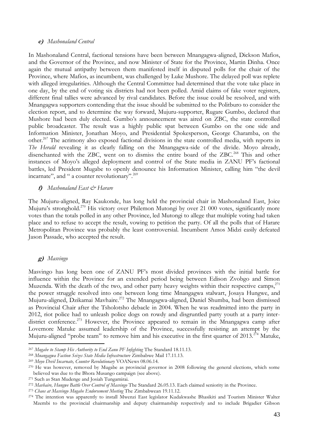#### **e)** *Mashonaland Central*

In Mashonaland Central, factional tensions have been between Mnangagwa-aligned, Dickson Mafios, and the Governor of the Province, and now Minister of State for the Province, Martin Dinha. Once again the mutual antipathy between them manifested itself in disputed polls for the chair of the Province, where Mafios, as incumbent, was challenged by Luke Mushore. The delayed poll was replete with alleged irregularities. Although the Central Committee had determined that the vote take place in one day, by the end of voting six districts had not been polled. Amid claims of fake voter registers, different final tallies were advanced by rival candidates. Before the issue could be resolved, and with Mnangagwa supporters contending that the issue should be submitted to the Politburo to consider the election report, and to determine the way forward, Mujuru-supporter, Rugare Gumbo, declared that Mushore had been duly elected. Gumbo's announcement was aired on ZBC, the state controlled public broadcaster. The result was a highly public spat between Gumbo on the one side and Information Minister, Jonathan Moyo, and Presidential Spokesperson, George Charamba, on the other.<sup>267</sup> The acrimony also exposed factional divisions in the state controlled media, with reports in *The Herald* revealing it as clearly falling on the Mnangagwa-side of the divide. Moyo already, disenchanted with the ZBC, went on to dismiss the entire board of the ZBC.<sup>268</sup> This and other instances of Moyo's alleged deployment and control of the State media in ZANU PF's factional battles, led President Mugabe to openly denounce his Information Minister, calling him "the devil incarnate", and " a counter revolutionary".<sup>269</sup>

## **f)** *Mashonaland East & Harare*

The Mujuru-aligned, Ray Kaukonde, has long held the provincial chair in Mashonaland East, Joice Mujuru's stronghold.<sup>270</sup> His victory over Philemon Mutongi by over 21 000 votes, significantly more votes than the totals polled in any other Province, led Mutongi to allege that multiple voting had taken place and to refuse to accept the result, vowing to petition the party. Of all the polls that of Harare Metropolitan Province was probably the least controversial. Incumbent Amos Midzi easily defeated Jason Passade, who accepted the result.

# **g)** *Masvingo*

<u>.</u>

Masvingo has long been one of ZANU PF"s most divided provinces with the initial battle for influence within the Province for an extended period being between Edison Zvobgo and Simon Muzenda. With the death of the two, and other party heavy weights within their respective camps, $^{271}$ the power struggle resolved into one between long time Mnangagwa stalwart, Josaya Hungwe, and Mujuru-aligned, Dzikamai Mavhaire.<sup>272</sup> The Mnangagwa-aligned, Daniel Shumba, had been dismissed as Provincial Chair after the Tsholotsho debacle in 2004. When he was readmitted into the party in 2012, riot police had to unleash police dogs on rowdy and disgruntled party youth at a party interdistrict conference.<sup>273</sup> However, the Province appeared to remain in the Mnangagwa camp after Lovemore Matuke assumed leadership of the Province, successfully resisting an attempt by the Mujuru-aligned "probe team" to remove him and his executive in the first quarter of 2013.<sup> $274$ </sup> Matuke,

<sup>267</sup> *Mugabe to Stamp His Authority to End Zanu PF Infighting* The Standard 18.11.13.

<sup>268</sup> *Mnangagwa Faction Seizes State Media Infrastructure* Zimbabwe Mail 17.11.13.

<sup>269</sup> *Moyo Devil Incarnate, Counter Revolutionary* VOANews 08.06.14.

<sup>&</sup>lt;sup>270</sup> He was however, removed by Mugabe as provincial governor in 2008 following the general elections, which some believed was due to the Bhora Musango campaign (see above).

<sup>271</sup> Such as Stan Mudenge and Josiah Tungamirai.

<sup>272</sup> *Mavhaire, Hungwe Battle Over Control of Masvingo* The Standard 26.05.13. Each claimed seniority in the Province.

<sup>273</sup> *Chaos at Masvingo Mugabe Endorsement Meeting* The Zimbabwean 19.11.12.

<sup>274</sup> The intention was apparently to install Mwenzi East legislator Kudakwashe Bhasikiti and Tourism Minister Walter Mzembi to the provincial chairmanship and deputy chairmanship respectively and to include Brigadier Gibson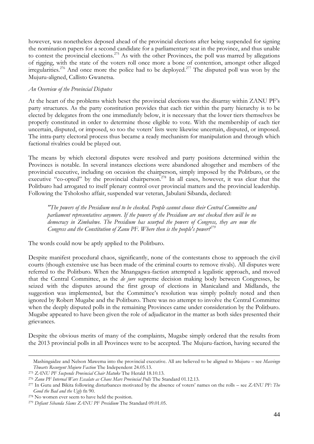however, was nonetheless deposed ahead of the provincial elections after being suspended for signing the nomination papers for a second candidate for a parliamentary seat in the province, and thus unable to contest the provincial elections.<sup>275</sup> As with the other Provinces, the poll was marred by allegations of rigging, with the state of the voters roll once more a bone of contention, amongst other alleged irregularities.<sup>276</sup> And once more the police had to be deployed.<sup>277</sup> The disputed poll was won by the Mujuru-aligned, Callisto Gwanetsa.

#### *An Overview of the Provincial Disputes*

At the heart of the problems which beset the provincial elections was the disarray within ZANU PF"s party structures. As the party constitution provides that each tier within the party hierarchy is to be elected by delegates from the one immediately below, it is necessary that the lower tiers themselves be properly constituted in order to determine those eligible to vote. With the membership of each tier uncertain, disputed, or imposed, so too the voters" lists were likewise uncertain, disputed, or imposed. The intra-party electoral process thus became a ready mechanism for manipulation and through which factional rivalries could be played out.

The means by which electoral disputes were resolved and party positions determined within the Provinces is notable. In several instances elections were abandoned altogether and members of the provincial executive, including on occasion the chairperson, simply imposed by the Politburo, or the executive "co-opted" by the provincial chairperson.<sup>278</sup> In all cases, however, it was clear that the Politburo had arrogated to itself plenary control over provincial matters and the provincial leadership. Following the Tsholosho affair, suspended war veteran, Jabulani Sibanda, declared:

*"The powers of the Presidium need to be checked. People cannot choose their Central Committee and parliament representatives anymore. If the powers of the Presidium are not checked there will be no democracy in Zimbabwe. The Presidium has usurped the powers of Congress, they are now the Congress and the Constitution of Zanu PF. Where then is the people's power?<sup>279</sup>*

The words could now be aptly applied to the Politburo.

Despite manifest procedural chaos, significantly, none of the contestants chose to approach the civil courts (though extensive use has been made of the criminal courts to remove rivals). All disputes were referred to the Politburo. When the Mnangagwa-faction attempted a legalistic approach, and moved that the Central Committee, as the *de jure* supreme decision making body between Congresses, be seized with the disputes around the first group of elections in Manicaland and Midlands, the suggestion was implemented, but the Committee's resolution was simply politely noted and then ignored by Robert Mugabe and the Politburo. There was no attempt to involve the Central Committee when the deeply disputed polls in the remaining Provinces came under consideration by the Politburo. Mugabe appeared to have been given the role of adjudicator in the matter as both sides presented their grievances.

Despite the obvious merits of many of the complaints, Mugabe simply ordered that the results from the 2013 provincial polls in all Provinces were to be accepted. The Mujuru-faction, having secured the

Mashingaidze and Nelson Mawema into the provincial executive. All are believed to be aligned to Mujuru – see *Masvingo Thwarts Resurgent Mujuru Faction* The Independent 24.05.13.

<sup>275</sup> *ZANU PF Suspends Provincial Chair Matuke* The Herald 18.10.13.

<sup>276</sup> *Zanu PF Internal Wars Escalate as Chaos Mars Provincial Polls* The Standard 01.12.13.

<sup>277</sup> In Gutu and Bikita following disturbances motivated by the absence of voters" names on the rolls – see *ZANU PF: The Good the Bad and the Ugly* fn 90.

<sup>278</sup> No women ever seem to have held the position.

<sup>279</sup> *Defiant Sibanda Slams ZANU PF Presidium* The Standard 09.01.05.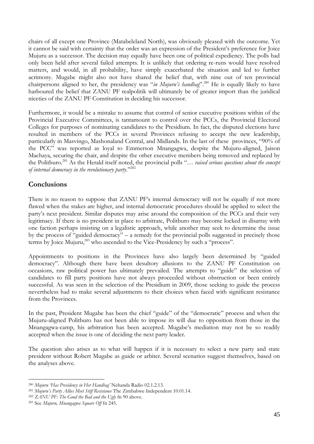chairs of all except one Province (Matabeleland North), was obviously pleased with the outcome. Yet it cannot be said with certainty that the order was an expression of the President"s preference for Joice Mujuru as a successor. The decision may equally have been one of political expediency. The polls had only been held after several failed attempts. It is unlikely that ordering re-runs would have resolved matters, and would, in all probability, have simply exacerbated the situation and led to further acrimony. Mugabe might also not have shared the belief that, with nine out of ten provincial chairpersons aligned to her, the presidency was "*in Mujuru's handbag*".<sup>280</sup> He is equally likely to have harboured the belief that ZANU PF realpolitik will ultimately be of greater import than the juridical niceties of the ZANU PF Constitution in deciding his successor.

Furthermore, it would be a mistake to assume that control of senior executive positions within of the Provincial Executive Committees, is tantamount to control over the PCCs, the Provincial Electoral Colleges for purposes of nominating candidates to the Presidium. In fact, the disputed elections have resulted in members of the PCCs in several Provinces refusing to accept the new leadership, particularly in Masvingo, Mashonaland Central, and Midlands. In the last of these provinces, "90% of the PCC" was reported as loyal to Emmerson Mnangagwa, despite the Mujuru-aligned, Jaison Machaya, securing the chair, and despite the other executive members being removed and replaced by the Politburo.<sup>281</sup> As the Herald itself noted, the provincial polls "… *raised serious questions about the concept of internal democracy in the revolutionary party*."<sup>282</sup>

# **Conclusions**

There is no reason to suppose that ZANU PF's internal democracy will not be equally if not more flawed when the stakes are higher, and internal democratic procedures should be applied to select the party"s next president. Similar disputes may arise around the composition of the PCCs and their very legitimacy. If there is no president in place to arbitrate, Politburo may become locked in disarray with one faction perhaps insisting on a legalistic approach, while another may seek to determine the issue by the process of "guided democracy" – a remedy for the provincial polls suggested in precisely those terms by Joice Mujuru,<sup>283</sup> who ascended to the Vice-Presidency by such a "process".

Appointments to positions in the Provinces have also largely been determined by "guided democracy". Although there have been desultory allusions to the ZANU PF Constitution on occasions, raw political power has ultimately prevailed. The attempts to "guide" the selection of candidates to fill party positions have not always proceeded without obstruction or been entirely successful. As was seen in the selection of the Presidium in 2009, those seeking to guide the process nevertheless had to make several adjustments to their choices when faced with significant resistance from the Provinces.

In the past, President Mugabe has been the chief "guide" of the "democratic" process and when the Mujuru-aligned Politburo has not been able to impose its will due to opposition from those in the Mnangagwa-camp, his arbitration has been accepted. Mugabe"s mediation may not be so readily accepted when the issue is one of deciding the next party leader.

The question also arises as to what will happen if it is necessary to select a new party and state president without Robert Mugabe as guide or arbiter. Several scenarios suggest themselves, based on the analyses above.

<sup>280</sup> *Mujuru ‗Has Presidency in Her Handbag'* Nehanda Radio 02.1.2.13.

<sup>281</sup> *Mujuru's Party Allies Meet Stiff Resistance* The Zimbabwe Independent 10.01.14.

<sup>282</sup> *ZANU PF: The Good the Bad and the Ugly* fn 90 above.

<sup>283</sup> See *Mujuru, Mnangagwa Square Off* fn 245.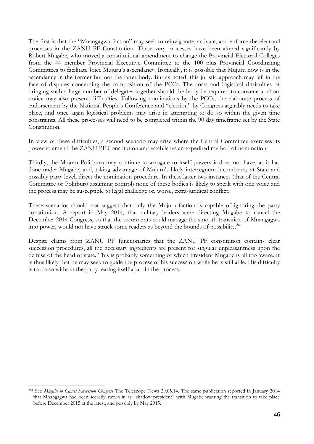The first is that the "Mnangagwa-faction" may seek to reinvigorate, activate, and enforce the electoral processes in the ZANU PF Constitution. These very processes have been altered significantly by Robert Mugabe, who moved a constitutional amendment to change the Provincial Electoral Colleges from the 44 member Provincial Executive Committee to the 100 plus Provincial Coordinating Committees to facilitate Joice Mujuru"s ascendancy. Ironically, it is possible that Mujuru now is in the ascendancy in the former but not the latter body. But as noted, this juristic approach may fail in the face of disputes concerning the composition of the PCCs. The costs and logistical difficulties of bringing such a large number of delegates together should the body be required to convene at short notice may also present difficulties. Following nominations by the PCCs, the elaborate process of endorsement by the National People"s Conference and "election" by Congress arguably needs to take place, and once again logistical problems may arise in attempting to do so within the given time constraints. All these processes will need to be completed within the 90 day timeframe set by the State Constitution.

In view of these difficulties, a second scenario may arise where the Central Committee exercises its power to amend the ZANU PF Constitution and establishes an expedited method of nomination.

Thirdly, the Mujuru Politburo may continue to arrogate to itself powers it does not have, as it has done under Mugabe, and, taking advantage of Mujuru"s likely interregnum incumbency at State and possibly party level, direct the nomination procedure. In these latter two instances (that of the Central Committee or Politburo assuming control) none of these bodies is likely to speak with one voice and the process may be susceptible to legal challenge or, worse, extra-juridical conflict.

These scenarios should not suggest that only the Mujuru-faction is capable of ignoring the party constitution. A report in May 2014, that military leaders were directing Mugabe to cancel the December 2014 Congress, so that the securocrats could manage the smooth transition of Mnangagwa into power, would not have struck some readers as beyond the bounds of possibility. $^{284}$ 

Despite claims from ZANU PF functionaries that the ZANU PF constitution contains clear succession procedures, all the necessary ingredients are present for singular unpleasantness upon the demise of the head of state. This is probably something of which President Mugabe is all too aware. It is thus likely that he may seek to guide the process of his succession while he is still able. His difficulty is to do so without the party tearing itself apart in the process.

<sup>1</sup> <sup>284</sup> See *Mugabe to Cancel Succession Congress* The Telescope News 29.05.14. The same publication reported in January 2014 that Mnangagwa had been secretly sworn in as "shadow president" with Mugabe wanting the transition to take place before December 2015 at the latest, and possibly by May 2015.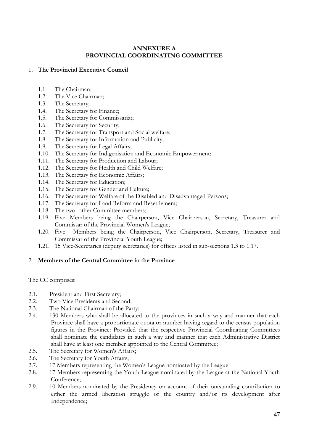# **ANNEXURE A PROVINCIAL COORDINATING COMMITTEE**

# 1. **The Provincial Executive Council**

- 1.1. The Chairman;
- 1.2. The Vice Chairman;
- 1.3. The Secretary;
- 1.4. The Secretary for Finance;
- 1.5. The Secretary for Commissariat;
- 1.6. The Secretary for Security;
- 1.7. The Secretary for Transport and Social welfare;
- 1.8. The Secretary for Information and Publicity;
- 1.9. The Secretary for Legal Affairs;
- 1.10. The Secretary for Indigenisation and Economic Empowerment;
- 1.11. The Secretary for Production and Labour;
- 1.12. The Secretary for Health and Child Welfare;
- 1.13. The Secretary for Economic Affairs;
- 1.14. The Secretary for Education;
- 1.15. The Secretary for Gender and Culture;
- 1.16. The Secretary for Welfare of the Disabled and Disadvantaged Persons;
- 1.17. The Secretary for Land Reform and Resettlement;
- 1.18. The two other Committee members;
- 1.19. Five Members being the Chairperson, Vice Chairperson, Secretary, Treasurer and Commissar of the Provincial Women's League;
- 1.20. Five Members being the Chairperson, Vice Chairperson, Secretary, Treasurer and Commissar of the Provincial Youth League;
- 1.21. 15 Vice-Secretaries (deputy secretaries) for offices listed in sub-sections 1.3 to 1.17.

# 2. **Members of the Central Committee in the Province**

The CC comprises:

- 2.1. President and First Secretary;
- 2.2. Two Vice Presidents and Second;
- 2.3. The National Chairman of the Party;
- 2.4. 130 Members who shall be allocated to the provinces in such a way and manner that each Province shall have a proportionate quota or number having regard to the census population figures in the Province: Provided that the respective Provincial Coordinating Committees shall nominate the candidates in such a way and manner that each Administrative District shall have at least one member appointed to the Central Committee;
- 2.5. The Secretary for Women's Affairs;
- 2.6. The Secretary for Youth Affairs;
- 2.7. 17 Members representing the Women's League nominated by the League
- 2.8. 17 Members representing the Youth League nominated by the League at the National Youth Conference;
- 2.9. 10 Members nominated by the Presidency on account of their outstanding contribution to either the armed liberation struggle of the country and/or its development after Independence;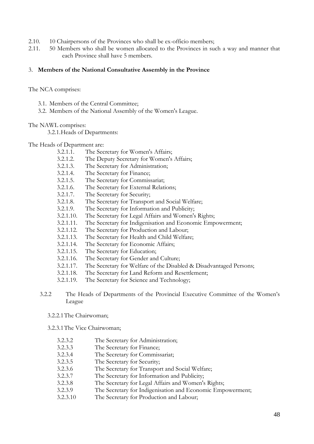- 2.10. 10 Chairpersons of the Provinces who shall be ex-officio members;
- 2.11. 50 Members who shall be women allocated to the Provinces in such a way and manner that each Province shall have 5 members.

#### 3. **Members of the National Consultative Assembly in the Province**

The NCA comprises:

- 3.1. Members of the Central Committee;
- 3.2. Members of the National Assembly of the Women's League.

#### The NAWL comprises:

3.2.1.Heads of Departments:

The Heads of Department are:

- 3.2.1.1. The Secretary for Women's Affairs;
- 3.2.1.2. The Deputy Secretary for Women's Affairs;
- 3.2.1.3. The Secretary for Administration;
- 3.2.1.4. The Secretary for Finance;
- 3.2.1.5. The Secretary for Commissariat;
- 3.2.1.6. The Secretary for External Relations;
- 3.2.1.7. The Secretary for Security;
- 3.2.1.8. The Secretary for Transport and Social Welfare;
- 3.2.1.9. The Secretary for Information and Publicity;
- 3.2.1.10. The Secretary for Legal Affairs and Women's Rights;
- 3.2.1.11. The Secretary for Indigenisation and Economic Empowerment;
- 3.2.1.12. The Secretary for Production and Labour;
- 3.2.1.13. The Secretary for Health and Child Welfare;
- 3.2.1.14. The Secretary for Economic Affairs;
- 3.2.1.15. The Secretary for Education;
- 3.2.1.16. The Secretary for Gender and Culture;
- 3.2.1.17. The Secretary for Welfare of the Disabled & Disadvantaged Persons;
- 3.2.1.18. The Secretary for Land Reform and Resettlement;
- 3.2.1.19. The Secretary for Science and Technology;
- 3.2.2 The Heads of Departments of the Provincial Executive Committee of the Women"s League
	- 3.2.2.1The Chairwoman;

3.2.3.1The Vice Chairwoman;

- 3.2.3.2 The Secretary for Administration;
- 3.2.3.3 The Secretary for Finance;
- 3.2.3.4 The Secretary for Commissariat;
- 3.2.3.5 The Secretary for Security;
- 3.2.3.6 The Secretary for Transport and Social Welfare;
- 3.2.3.7 The Secretary for Information and Publicity;
- 3.2.3.8 The Secretary for Legal Affairs and Women's Rights;
- 3.2.3.9 The Secretary for Indigenisation and Economic Empowerment;
- 3.2.3.10 The Secretary for Production and Labour;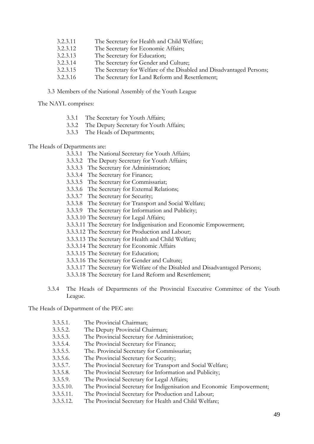- 3.2.3.11 The Secretary for Health and Child Welfare;
- 3.2.3.12 The Secretary for Economic Affairs;
- 3.2.3.13 The Secretary for Education;
- 3.2.3.14 The Secretary for Gender and Culture;
- 3.2.3.15 The Secretary for Welfare of the Disabled and Disadvantaged Persons;
- 3.2.3.16 The Secretary for Land Reform and Resettlement;

3.3 Members of the National Assembly of the Youth League

The NAYL comprises:

- 3.3.1 The Secretary for Youth Affairs;
- 3.3.2 The Deputy Secretary for Youth Affairs;
- 3.3.3 The Heads of Departments;

# The Heads of Departments are:

- 3.3.3.1 The National Secretary for Youth Affairs;
- 3.3.3.2 The Deputy Secretary for Youth Affairs;
- 3.3.3.3 The Secretary for Administration;
- 3.3.3.4 The Secretary for Finance;
- 3.3.3.5 The Secretary for Commissariat;
- 3.3.3.6 The Secretary for External Relations;
- 3.3.3.7 The Secretary for Security;
- 3.3.3.8 The Secretary for Transport and Social Welfare;
- 3.3.3.9 The Secretary for Information and Publicity;
- 3.3.3.10 The Secretary for Legal Affairs;
- 3.3.3.11 The Secretary for Indigenisation and Economic Empowerment;
- 3.3.3.12 The Secretary for Production and Labour;
- 3.3.3.13 The Secretary for Health and Child Welfare;
- 3.3.3.14 The Secretary for Economic Affairs
- 3.3.3.15 The Secretary for Education;
- 3.3.3.16 The Secretary for Gender and Culture;
- 3.3.3.17 The Secretary for Welfare of the Disabled and Disadvantaged Persons;
- 3.3.3.18 The Secretary for Land Reform and Resettlement;
- 3.3.4 The Heads of Departments of the Provincial Executive Committee of the Youth League.

The Heads of Department of the PEC are:

- 3.3.5.1. The Provincial Chairman;
- 3.3.5.2. The Deputy Provincial Chairman;
- 3.3.5.3. The Provincial Secretary for Administration;
- 3.3.5.4. The Provincial Secretary for Finance;
- 3.3.5.5. The. Provincial Secretary for Commissariat;
- 3.3.5.6. The Provincial Secretary for Security;
- 3.3.5.7. The Provincial Secretary for Transport and Social Welfare;
- 3.3.5.8. The Provincial Secretary for Information and Publicity;
- 3.3.5.9. The Provincial Secretary for Legal Affairs;
- 3.3.5.10. The Provincial Secretary for Indigenisation and Economic Empowerment;
- 3.3.5.11. The Provincial Secretary for Production and Labour;
- 3.3.5.12. The Provincial Secretary for Health and Child Welfare;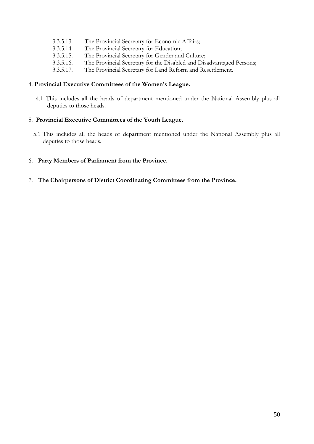- 3.3.5.13. The Provincial Secretary for Economic Affairs;
- 3.3.5.14. The Provincial Secretary for Education;
- 3.3.5.15. The Provincial Secretary for Gender and Culture;
- 3.3.5.16. The Provincial Secretary for the Disabled and Disadvantaged Persons;
- 3.3.5.17. The Provincial Secretary for Land Reform and Resettlement.

#### 4. **Provincial Executive Committees of the Women's League.**

4.1 This includes all the heads of department mentioned under the National Assembly plus all deputies to those heads.

## 5. **Provincial Executive Committees of the Youth League.**

- 5.1 This includes all the heads of department mentioned under the National Assembly plus all deputies to those heads.
- 6. **Party Members of Parliament from the Province.**
- 7. **The Chairpersons of District Coordinating Committees from the Province.**